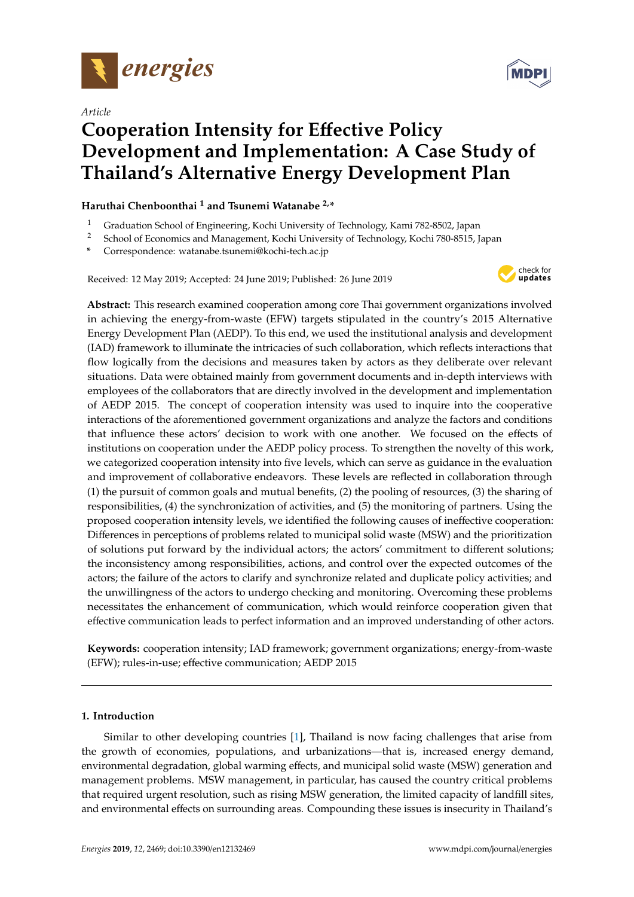

*Article*

# **Cooperation Intensity for E**ff**ective Policy Development and Implementation: A Case Study of Thailand's Alternative Energy Development Plan**

# **Haruthai Chenboonthai <sup>1</sup> and Tsunemi Watanabe 2,\***

- <sup>1</sup> Graduation School of Engineering, Kochi University of Technology, Kami 782-8502, Japan
- <sup>2</sup> School of Economics and Management, Kochi University of Technology, Kochi 780-8515, Japan
- **\*** Correspondence: watanabe.tsunemi@kochi-tech.ac.jp

Received: 12 May 2019; Accepted: 24 June 2019; Published: 26 June 2019



**Abstract:** This research examined cooperation among core Thai government organizations involved in achieving the energy-from-waste (EFW) targets stipulated in the country's 2015 Alternative Energy Development Plan (AEDP). To this end, we used the institutional analysis and development (IAD) framework to illuminate the intricacies of such collaboration, which reflects interactions that flow logically from the decisions and measures taken by actors as they deliberate over relevant situations. Data were obtained mainly from government documents and in-depth interviews with employees of the collaborators that are directly involved in the development and implementation of AEDP 2015. The concept of cooperation intensity was used to inquire into the cooperative interactions of the aforementioned government organizations and analyze the factors and conditions that influence these actors' decision to work with one another. We focused on the effects of institutions on cooperation under the AEDP policy process. To strengthen the novelty of this work, we categorized cooperation intensity into five levels, which can serve as guidance in the evaluation and improvement of collaborative endeavors. These levels are reflected in collaboration through (1) the pursuit of common goals and mutual benefits, (2) the pooling of resources, (3) the sharing of responsibilities, (4) the synchronization of activities, and (5) the monitoring of partners. Using the proposed cooperation intensity levels, we identified the following causes of ineffective cooperation: Differences in perceptions of problems related to municipal solid waste (MSW) and the prioritization of solutions put forward by the individual actors; the actors' commitment to different solutions; the inconsistency among responsibilities, actions, and control over the expected outcomes of the actors; the failure of the actors to clarify and synchronize related and duplicate policy activities; and the unwillingness of the actors to undergo checking and monitoring. Overcoming these problems necessitates the enhancement of communication, which would reinforce cooperation given that effective communication leads to perfect information and an improved understanding of other actors.

**Keywords:** cooperation intensity; IAD framework; government organizations; energy-from-waste (EFW); rules-in-use; effective communication; AEDP 2015

# **1. Introduction**

Similar to other developing countries [\[1\]](#page-19-0), Thailand is now facing challenges that arise from the growth of economies, populations, and urbanizations—that is, increased energy demand, environmental degradation, global warming effects, and municipal solid waste (MSW) generation and management problems. MSW management, in particular, has caused the country critical problems that required urgent resolution, such as rising MSW generation, the limited capacity of landfill sites, and environmental effects on surrounding areas. Compounding these issues is insecurity in Thailand's

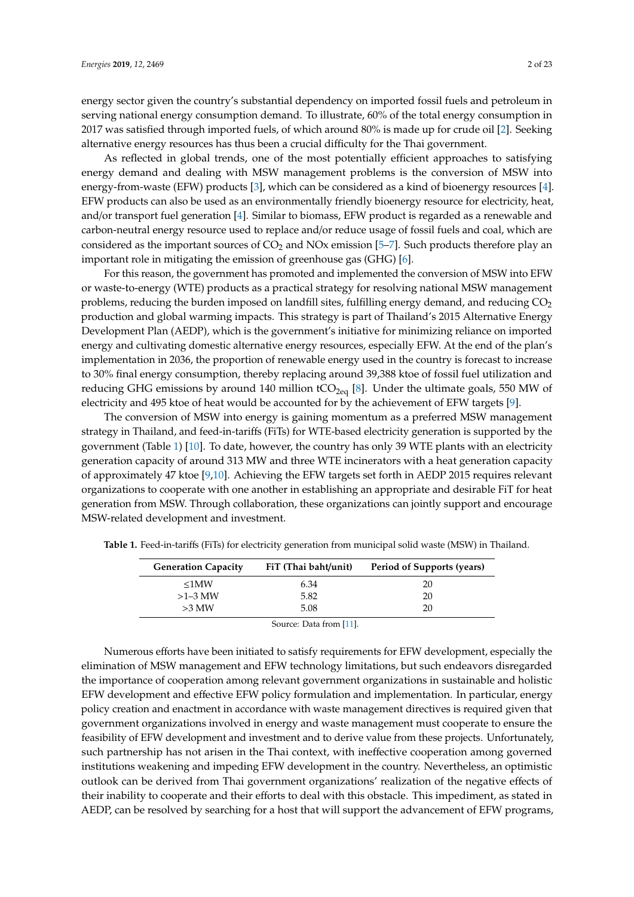energy sector given the country's substantial dependency on imported fossil fuels and petroleum in serving national energy consumption demand. To illustrate, 60% of the total energy consumption in 2017 was satisfied through imported fuels, of which around 80% is made up for crude oil [\[2\]](#page-19-1). Seeking alternative energy resources has thus been a crucial difficulty for the Thai government.

As reflected in global trends, one of the most potentially efficient approaches to satisfying energy demand and dealing with MSW management problems is the conversion of MSW into energy-from-waste (EFW) products [\[3\]](#page-19-2), which can be considered as a kind of bioenergy resources [\[4\]](#page-19-3). EFW products can also be used as an environmentally friendly bioenergy resource for electricity, heat, and/or transport fuel generation [\[4\]](#page-19-3). Similar to biomass, EFW product is regarded as a renewable and carbon-neutral energy resource used to replace and/or reduce usage of fossil fuels and coal, which are considered as the important sources of  $CO<sub>2</sub>$  and NOx emission [\[5–](#page-19-4)[7\]](#page-19-5). Such products therefore play an important role in mitigating the emission of greenhouse gas (GHG) [\[6\]](#page-19-6).

For this reason, the government has promoted and implemented the conversion of MSW into EFW or waste-to-energy (WTE) products as a practical strategy for resolving national MSW management problems, reducing the burden imposed on landfill sites, fulfilling energy demand, and reducing CO<sub>2</sub> production and global warming impacts. This strategy is part of Thailand's 2015 Alternative Energy Development Plan (AEDP), which is the government's initiative for minimizing reliance on imported energy and cultivating domestic alternative energy resources, especially EFW. At the end of the plan's implementation in 2036, the proportion of renewable energy used in the country is forecast to increase to 30% final energy consumption, thereby replacing around 39,388 ktoe of fossil fuel utilization and reducing GHG emissions by around 140 million  $tCO_{2eq}$  [\[8\]](#page-19-7). Under the ultimate goals, 550 MW of electricity and 495 ktoe of heat would be accounted for by the achievement of EFW targets [\[9\]](#page-19-8).

The conversion of MSW into energy is gaining momentum as a preferred MSW management strategy in Thailand, and feed-in-tariffs (FiTs) for WTE-based electricity generation is supported by the government (Table [1\)](#page-1-0) [\[10\]](#page-19-9). To date, however, the country has only 39 WTE plants with an electricity generation capacity of around 313 MW and three WTE incinerators with a heat generation capacity of approximately 47 ktoe [\[9,](#page-19-8)[10\]](#page-19-9). Achieving the EFW targets set forth in AEDP 2015 requires relevant organizations to cooperate with one another in establishing an appropriate and desirable FiT for heat generation from MSW. Through collaboration, these organizations can jointly support and encourage MSW-related development and investment.

| <b>Generation Capacity</b> | FiT (Thai baht/unit) | Period of Supports (years) |
|----------------------------|----------------------|----------------------------|
| $\leq1$ MW                 | 6.34                 | 20                         |
| $>1-3$ MW                  | 5.82                 | 20                         |
| $>3$ MW                    | 5.08                 | 20                         |

<span id="page-1-0"></span>**Table 1.** Feed-in-tariffs (FiTs) for electricity generation from municipal solid waste (MSW) in Thailand.

Source: Data from [\[11\]](#page-19-10).

Numerous efforts have been initiated to satisfy requirements for EFW development, especially the elimination of MSW management and EFW technology limitations, but such endeavors disregarded the importance of cooperation among relevant government organizations in sustainable and holistic EFW development and effective EFW policy formulation and implementation. In particular, energy policy creation and enactment in accordance with waste management directives is required given that government organizations involved in energy and waste management must cooperate to ensure the feasibility of EFW development and investment and to derive value from these projects. Unfortunately, such partnership has not arisen in the Thai context, with ineffective cooperation among governed institutions weakening and impeding EFW development in the country. Nevertheless, an optimistic outlook can be derived from Thai government organizations' realization of the negative effects of their inability to cooperate and their efforts to deal with this obstacle. This impediment, as stated in AEDP, can be resolved by searching for a host that will support the advancement of EFW programs,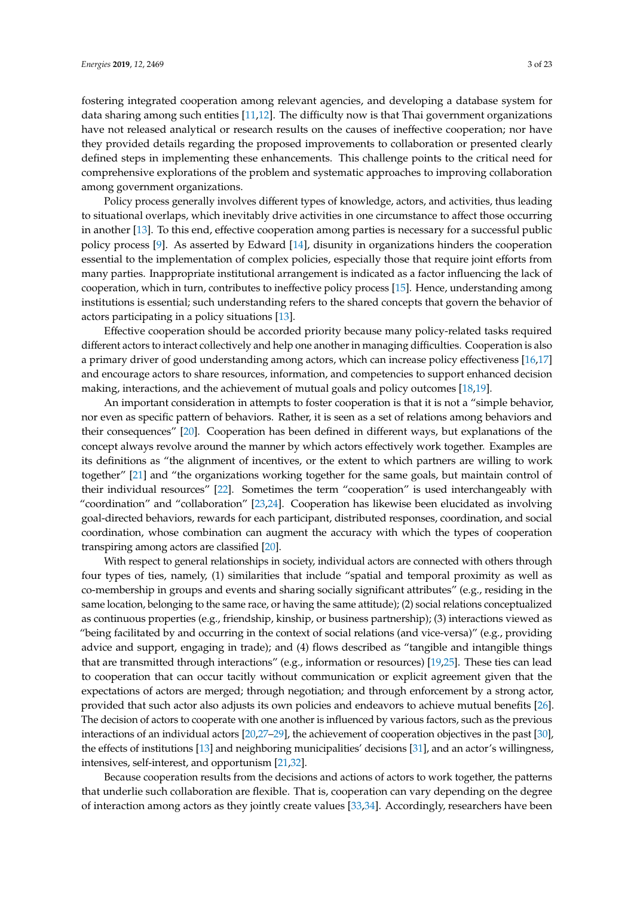fostering integrated cooperation among relevant agencies, and developing a database system for data sharing among such entities [\[11](#page-19-10)[,12\]](#page-19-11). The difficulty now is that Thai government organizations have not released analytical or research results on the causes of ineffective cooperation; nor have they provided details regarding the proposed improvements to collaboration or presented clearly defined steps in implementing these enhancements. This challenge points to the critical need for comprehensive explorations of the problem and systematic approaches to improving collaboration among government organizations.

Policy process generally involves different types of knowledge, actors, and activities, thus leading to situational overlaps, which inevitably drive activities in one circumstance to affect those occurring in another [\[13\]](#page-19-12). To this end, effective cooperation among parties is necessary for a successful public policy process [\[9\]](#page-19-8). As asserted by Edward [\[14\]](#page-19-13), disunity in organizations hinders the cooperation essential to the implementation of complex policies, especially those that require joint efforts from many parties. Inappropriate institutional arrangement is indicated as a factor influencing the lack of cooperation, which in turn, contributes to ineffective policy process [\[15\]](#page-19-14). Hence, understanding among institutions is essential; such understanding refers to the shared concepts that govern the behavior of actors participating in a policy situations [\[13\]](#page-19-12).

Effective cooperation should be accorded priority because many policy-related tasks required different actors to interact collectively and help one another in managing difficulties. Cooperation is also a primary driver of good understanding among actors, which can increase policy effectiveness [\[16](#page-20-0)[,17\]](#page-20-1) and encourage actors to share resources, information, and competencies to support enhanced decision making, interactions, and the achievement of mutual goals and policy outcomes [\[18,](#page-20-2)[19\]](#page-20-3).

An important consideration in attempts to foster cooperation is that it is not a "simple behavior, nor even as specific pattern of behaviors. Rather, it is seen as a set of relations among behaviors and their consequences" [\[20\]](#page-20-4). Cooperation has been defined in different ways, but explanations of the concept always revolve around the manner by which actors effectively work together. Examples are its definitions as "the alignment of incentives, or the extent to which partners are willing to work together" [\[21\]](#page-20-5) and "the organizations working together for the same goals, but maintain control of their individual resources" [\[22\]](#page-20-6). Sometimes the term "cooperation" is used interchangeably with "coordination" and "collaboration" [\[23,](#page-20-7)[24\]](#page-20-8). Cooperation has likewise been elucidated as involving goal-directed behaviors, rewards for each participant, distributed responses, coordination, and social coordination, whose combination can augment the accuracy with which the types of cooperation transpiring among actors are classified [\[20\]](#page-20-4).

With respect to general relationships in society, individual actors are connected with others through four types of ties, namely, (1) similarities that include "spatial and temporal proximity as well as co-membership in groups and events and sharing socially significant attributes" (e.g., residing in the same location, belonging to the same race, or having the same attitude); (2) social relations conceptualized as continuous properties (e.g., friendship, kinship, or business partnership); (3) interactions viewed as "being facilitated by and occurring in the context of social relations (and vice-versa)" (e.g., providing advice and support, engaging in trade); and (4) flows described as "tangible and intangible things that are transmitted through interactions" (e.g., information or resources) [\[19](#page-20-3)[,25\]](#page-20-9). These ties can lead to cooperation that can occur tacitly without communication or explicit agreement given that the expectations of actors are merged; through negotiation; and through enforcement by a strong actor, provided that such actor also adjusts its own policies and endeavors to achieve mutual benefits [\[26\]](#page-20-10). The decision of actors to cooperate with one another is influenced by various factors, such as the previous interactions of an individual actors [\[20](#page-20-4)[,27](#page-20-11)[–29\]](#page-20-12), the achievement of cooperation objectives in the past [\[30\]](#page-20-13), the effects of institutions [\[13\]](#page-19-12) and neighboring municipalities' decisions [\[31\]](#page-20-14), and an actor's willingness, intensives, self-interest, and opportunism [\[21,](#page-20-5)[32\]](#page-20-15).

Because cooperation results from the decisions and actions of actors to work together, the patterns that underlie such collaboration are flexible. That is, cooperation can vary depending on the degree of interaction among actors as they jointly create values [\[33](#page-20-16)[,34\]](#page-20-17). Accordingly, researchers have been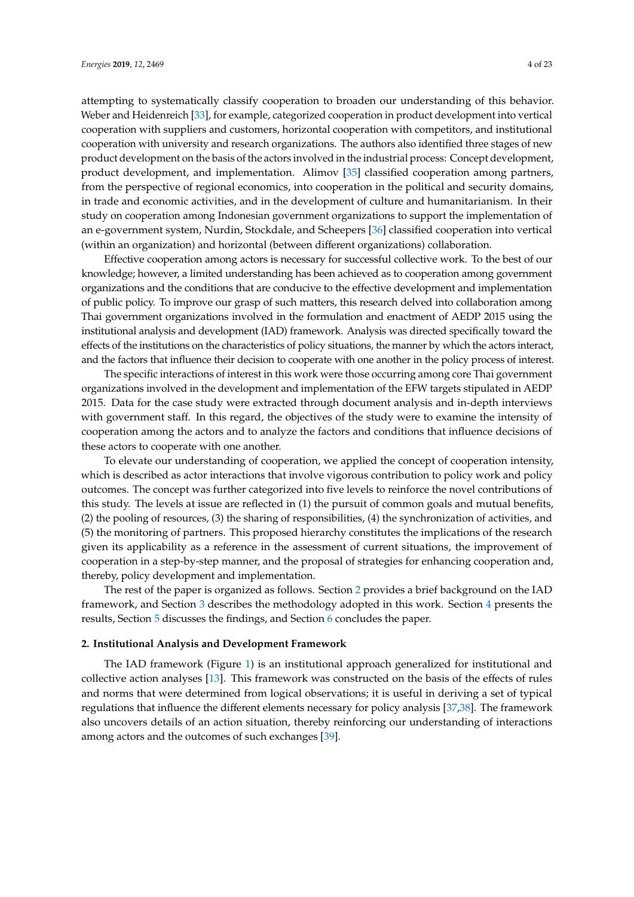attempting to systematically classify cooperation to broaden our understanding of this behavior. Weber and Heidenreich [\[33\]](#page-20-16), for example, categorized cooperation in product development into vertical cooperation with suppliers and customers, horizontal cooperation with competitors, and institutional cooperation with university and research organizations. The authors also identified three stages of new product development on the basis of the actors involved in the industrial process: Concept development, product development, and implementation. Alimov [\[35\]](#page-20-18) classified cooperation among partners, from the perspective of regional economics, into cooperation in the political and security domains, in trade and economic activities, and in the development of culture and humanitarianism. In their study on cooperation among Indonesian government organizations to support the implementation of an e-government system, Nurdin, Stockdale, and Scheepers [\[36\]](#page-20-19) classified cooperation into vertical (within an organization) and horizontal (between different organizations) collaboration.

Effective cooperation among actors is necessary for successful collective work. To the best of our knowledge; however, a limited understanding has been achieved as to cooperation among government organizations and the conditions that are conducive to the effective development and implementation of public policy. To improve our grasp of such matters, this research delved into collaboration among Thai government organizations involved in the formulation and enactment of AEDP 2015 using the institutional analysis and development (IAD) framework. Analysis was directed specifically toward the effects of the institutions on the characteristics of policy situations, the manner by which the actors interact, and the factors that influence their decision to cooperate with one another in the policy process of interest.

The specific interactions of interest in this work were those occurring among core Thai government organizations involved in the development and implementation of the EFW targets stipulated in AEDP 2015. Data for the case study were extracted through document analysis and in-depth interviews with government staff. In this regard, the objectives of the study were to examine the intensity of cooperation among the actors and to analyze the factors and conditions that influence decisions of these actors to cooperate with one another.

To elevate our understanding of cooperation, we applied the concept of cooperation intensity, which is described as actor interactions that involve vigorous contribution to policy work and policy outcomes. The concept was further categorized into five levels to reinforce the novel contributions of this study. The levels at issue are reflected in (1) the pursuit of common goals and mutual benefits, (2) the pooling of resources, (3) the sharing of responsibilities, (4) the synchronization of activities, and (5) the monitoring of partners. This proposed hierarchy constitutes the implications of the research given its applicability as a reference in the assessment of current situations, the improvement of cooperation in a step-by-step manner, and the proposal of strategies for enhancing cooperation and, thereby, policy development and implementation.

The rest of the paper is organized as follows. Section [2](#page-3-0) provides a brief background on the IAD framework, and Section [3](#page-5-0) describes the methodology adopted in this work. Section [4](#page-6-0) presents the results, Section [5](#page-16-0) discusses the findings, and Section [6](#page-18-0) concludes the paper.

#### <span id="page-3-0"></span>**2. Institutional Analysis and Development Framework**

The IAD framework (Figure [1\)](#page-4-0) is an institutional approach generalized for institutional and collective action analyses [\[13\]](#page-19-12). This framework was constructed on the basis of the effects of rules and norms that were determined from logical observations; it is useful in deriving a set of typical regulations that influence the different elements necessary for policy analysis [\[37](#page-20-20)[,38\]](#page-20-21). The framework also uncovers details of an action situation, thereby reinforcing our understanding of interactions among actors and the outcomes of such exchanges [\[39\]](#page-20-22).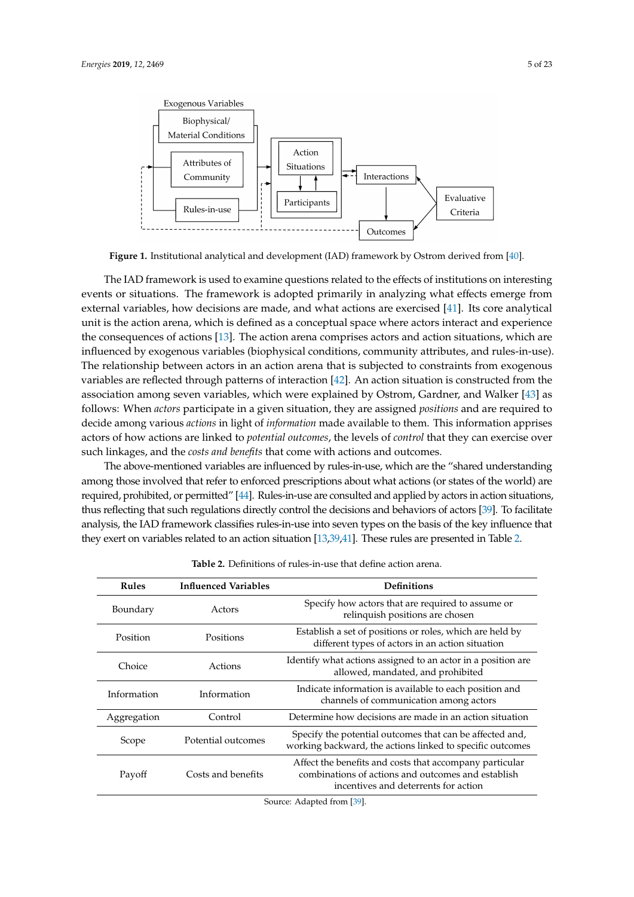<span id="page-4-0"></span>

**Figure 1.** Institutional analytical and development (IAD) framework by Ostrom derived from [\[40\]](#page-20-23).

The IAD framework is used to examine questions related to the effects of institutions on interesting events or situations. The framework is adopted primarily in analyzing what effects emerge from external variables, how decisions are made, and what actions are exercised [\[41\]](#page-21-0). Its core analytical unit is the action arena, which is defined as a conceptual space where actors interact and experience the consequences of actions [\[13\]](#page-19-12). The action arena comprises actors and action situations, which are influenced by exogenous variables (biophysical conditions, community attributes, and rules-in-use). The relationship between actors in an action arena that is subjected to constraints from exogenous variables are reflected through patterns of interaction [\[42\]](#page-21-1). An action situation is constructed from the association among seven variables, which were explained by Ostrom, Gardner, and Walker [\[43\]](#page-21-2) as follows: When *actors* participate in a given situation, they are assigned *positions* and are required to decide among various *actions* in light of *information* made available to them. This information apprises actors of how actions are linked to *potential outcomes*, the levels of *control* that they can exercise over such linkages, and the *costs and benefits* that come with actions and outcomes.

The above-mentioned variables are influenced by rules-in-use, which are the "shared understanding among those involved that refer to enforced prescriptions about what actions (or states of the world) are required, prohibited, or permitted" [\[44\]](#page-21-3). Rules-in-use are consulted and applied by actors in action situations, thus reflecting that such regulations directly control the decisions and behaviors of actors [\[39\]](#page-20-22). To facilitate analysis, the IAD framework classifies rules-in-use into seven types on the basis of the key influence that they exert on variables related to an action situation [\[13](#page-19-12)[,39](#page-20-22)[,41\]](#page-21-0). These rules are presented in Table [2.](#page-4-1)

<span id="page-4-1"></span>

| <b>Rules</b> | <b>Influenced Variables</b> | <b>Definitions</b>                                                                                                                                    |
|--------------|-----------------------------|-------------------------------------------------------------------------------------------------------------------------------------------------------|
| Boundary     | Actors                      | Specify how actors that are required to assume or<br>relinquish positions are chosen                                                                  |
| Position     | Positions                   | Establish a set of positions or roles, which are held by<br>different types of actors in an action situation                                          |
| Choice       | Actions                     | Identify what actions assigned to an actor in a position are.<br>allowed, mandated, and prohibited                                                    |
| Information  | Information                 | Indicate information is available to each position and<br>channels of communication among actors                                                      |
| Aggregation  | Control                     | Determine how decisions are made in an action situation                                                                                               |
| Scope        | Potential outcomes          | Specify the potential outcomes that can be affected and,<br>working backward, the actions linked to specific outcomes                                 |
| Payoff       | Costs and benefits          | Affect the benefits and costs that accompany particular<br>combinations of actions and outcomes and establish<br>incentives and deterrents for action |
|              |                             | Source: Adapted from [39].                                                                                                                            |

**Table 2.** Definitions of rules-in-use that define action arena.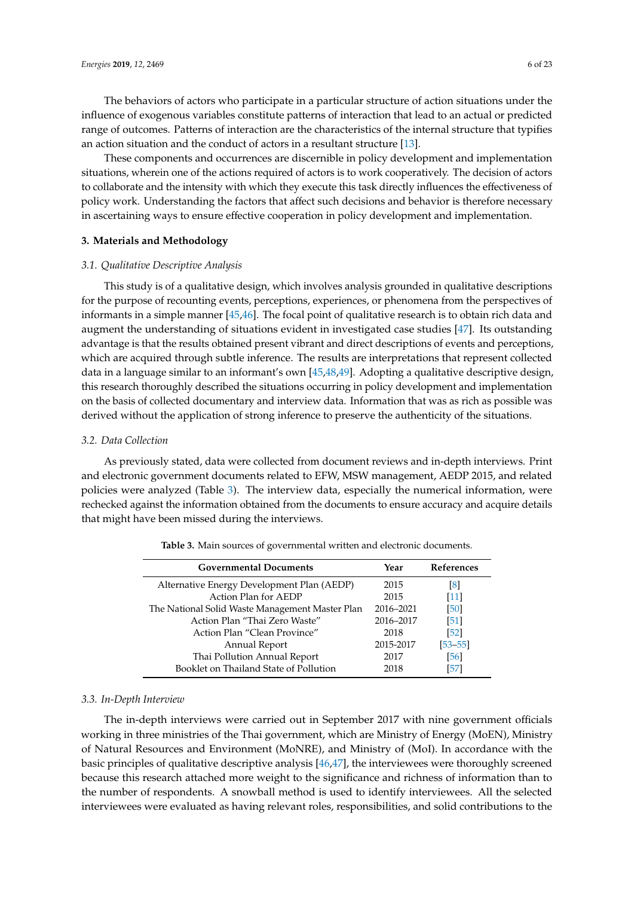The behaviors of actors who participate in a particular structure of action situations under the influence of exogenous variables constitute patterns of interaction that lead to an actual or predicted range of outcomes. Patterns of interaction are the characteristics of the internal structure that typifies an action situation and the conduct of actors in a resultant structure [\[13\]](#page-19-12).

These components and occurrences are discernible in policy development and implementation situations, wherein one of the actions required of actors is to work cooperatively. The decision of actors to collaborate and the intensity with which they execute this task directly influences the effectiveness of policy work. Understanding the factors that affect such decisions and behavior is therefore necessary in ascertaining ways to ensure effective cooperation in policy development and implementation.

#### <span id="page-5-0"></span>**3. Materials and Methodology**

#### *3.1. Qualitative Descriptive Analysis*

This study is of a qualitative design, which involves analysis grounded in qualitative descriptions for the purpose of recounting events, perceptions, experiences, or phenomena from the perspectives of informants in a simple manner [\[45,](#page-21-4)[46\]](#page-21-5). The focal point of qualitative research is to obtain rich data and augment the understanding of situations evident in investigated case studies [\[47\]](#page-21-6). Its outstanding advantage is that the results obtained present vibrant and direct descriptions of events and perceptions, which are acquired through subtle inference. The results are interpretations that represent collected data in a language similar to an informant's own [\[45](#page-21-4)[,48,](#page-21-7)[49\]](#page-21-8). Adopting a qualitative descriptive design, this research thoroughly described the situations occurring in policy development and implementation on the basis of collected documentary and interview data. Information that was as rich as possible was derived without the application of strong inference to preserve the authenticity of the situations.

#### *3.2. Data Collection*

As previously stated, data were collected from document reviews and in-depth interviews. Print and electronic government documents related to EFW, MSW management, AEDP 2015, and related policies were analyzed (Table [3\)](#page-5-1). The interview data, especially the numerical information, were rechecked against the information obtained from the documents to ensure accuracy and acquire details that might have been missed during the interviews.

<span id="page-5-1"></span>

| <b>Governmental Documents</b>                   | Year      | <b>References</b> |
|-------------------------------------------------|-----------|-------------------|
| Alternative Energy Development Plan (AEDP)      | 2015      | $\lceil 8 \rceil$ |
| Action Plan for AEDP                            | 2015      | [11]              |
| The National Solid Waste Management Master Plan | 2016-2021 | [50]              |
| Action Plan "Thai Zero Waste"                   | 2016-2017 | [51]              |
| Action Plan "Clean Province"                    | 2018      | [52]              |
| Annual Report                                   | 2015-2017 | $[53 - 55]$       |
| Thai Pollution Annual Report                    | 2017      | [56]              |
| Booklet on Thailand State of Pollution          | 2018      | [57]              |

**Table 3.** Main sources of governmental written and electronic documents.

#### *3.3. In-Depth Interview*

The in-depth interviews were carried out in September 2017 with nine government officials working in three ministries of the Thai government, which are Ministry of Energy (MoEN), Ministry of Natural Resources and Environment (MoNRE), and Ministry of (MoI). In accordance with the basic principles of qualitative descriptive analysis [\[46,](#page-21-5)[47\]](#page-21-6), the interviewees were thoroughly screened because this research attached more weight to the significance and richness of information than to the number of respondents. A snowball method is used to identify interviewees. All the selected interviewees were evaluated as having relevant roles, responsibilities, and solid contributions to the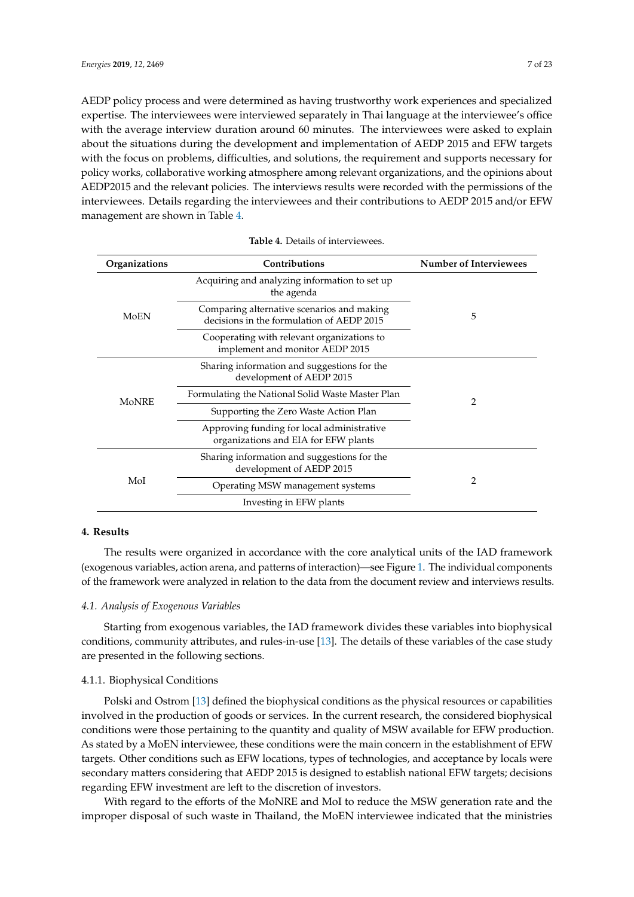AEDP policy process and were determined as having trustworthy work experiences and specialized expertise. The interviewees were interviewed separately in Thai language at the interviewee's office with the average interview duration around 60 minutes. The interviewees were asked to explain about the situations during the development and implementation of AEDP 2015 and EFW targets with the focus on problems, difficulties, and solutions, the requirement and supports necessary for policy works, collaborative working atmosphere among relevant organizations, and the opinions about AEDP2015 and the relevant policies. The interviews results were recorded with the permissions of the interviewees. Details regarding the interviewees and their contributions to AEDP 2015 and/or EFW management are shown in Table [4.](#page-6-1)

<span id="page-6-1"></span>

| Organizations | Contributions                                                                           | <b>Number of Interviewees</b> |  |
|---------------|-----------------------------------------------------------------------------------------|-------------------------------|--|
|               | Acquiring and analyzing information to set up<br>the agenda                             |                               |  |
| MoEN          | Comparing alternative scenarios and making<br>decisions in the formulation of AEDP 2015 | 5                             |  |
|               | Cooperating with relevant organizations to<br>implement and monitor AEDP 2015           |                               |  |
|               | Sharing information and suggestions for the<br>development of AEDP 2015                 |                               |  |
| <b>MoNRE</b>  | Formulating the National Solid Waste Master Plan                                        | 2                             |  |
|               | Supporting the Zero Waste Action Plan                                                   |                               |  |
|               | Approving funding for local administrative<br>organizations and EIA for EFW plants      |                               |  |
|               | Sharing information and suggestions for the<br>development of AEDP 2015                 |                               |  |
| MoI           | Operating MSW management systems                                                        | 2                             |  |
|               | Investing in EFW plants                                                                 |                               |  |

#### **Table 4.** Details of interviewees.

## <span id="page-6-0"></span>**4. Results**

The results were organized in accordance with the core analytical units of the IAD framework (exogenous variables, action arena, and patterns of interaction)—see Figure [1.](#page-4-0) The individual components of the framework were analyzed in relation to the data from the document review and interviews results.

#### *4.1. Analysis of Exogenous Variables*

Starting from exogenous variables, the IAD framework divides these variables into biophysical conditions, community attributes, and rules-in-use [\[13\]](#page-19-12). The details of these variables of the case study are presented in the following sections.

## 4.1.1. Biophysical Conditions

Polski and Ostrom [\[13\]](#page-19-12) defined the biophysical conditions as the physical resources or capabilities involved in the production of goods or services. In the current research, the considered biophysical conditions were those pertaining to the quantity and quality of MSW available for EFW production. As stated by a MoEN interviewee, these conditions were the main concern in the establishment of EFW targets. Other conditions such as EFW locations, types of technologies, and acceptance by locals were secondary matters considering that AEDP 2015 is designed to establish national EFW targets; decisions regarding EFW investment are left to the discretion of investors.

With regard to the efforts of the MoNRE and MoI to reduce the MSW generation rate and the improper disposal of such waste in Thailand, the MoEN interviewee indicated that the ministries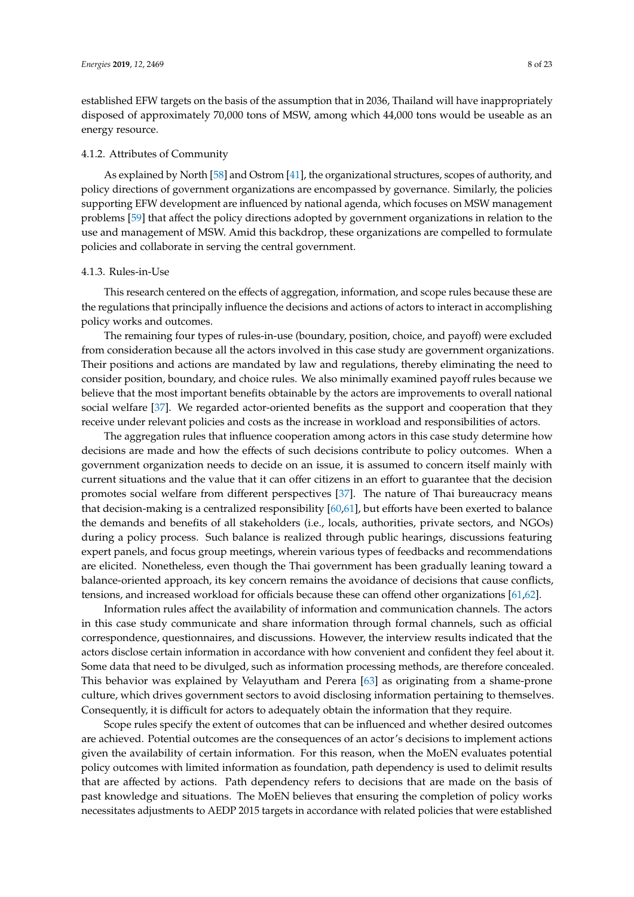established EFW targets on the basis of the assumption that in 2036, Thailand will have inappropriately disposed of approximately 70,000 tons of MSW, among which 44,000 tons would be useable as an energy resource.

#### 4.1.2. Attributes of Community

As explained by North [\[58\]](#page-21-16) and Ostrom [\[41\]](#page-21-0), the organizational structures, scopes of authority, and policy directions of government organizations are encompassed by governance. Similarly, the policies supporting EFW development are influenced by national agenda, which focuses on MSW management problems [\[59\]](#page-21-17) that affect the policy directions adopted by government organizations in relation to the use and management of MSW. Amid this backdrop, these organizations are compelled to formulate policies and collaborate in serving the central government.

#### 4.1.3. Rules-in-Use

This research centered on the effects of aggregation, information, and scope rules because these are the regulations that principally influence the decisions and actions of actors to interact in accomplishing policy works and outcomes.

The remaining four types of rules-in-use (boundary, position, choice, and payoff) were excluded from consideration because all the actors involved in this case study are government organizations. Their positions and actions are mandated by law and regulations, thereby eliminating the need to consider position, boundary, and choice rules. We also minimally examined payoff rules because we believe that the most important benefits obtainable by the actors are improvements to overall national social welfare [\[37\]](#page-20-20). We regarded actor-oriented benefits as the support and cooperation that they receive under relevant policies and costs as the increase in workload and responsibilities of actors.

The aggregation rules that influence cooperation among actors in this case study determine how decisions are made and how the effects of such decisions contribute to policy outcomes. When a government organization needs to decide on an issue, it is assumed to concern itself mainly with current situations and the value that it can offer citizens in an effort to guarantee that the decision promotes social welfare from different perspectives [\[37\]](#page-20-20). The nature of Thai bureaucracy means that decision-making is a centralized responsibility [\[60,](#page-21-18)[61\]](#page-21-19), but efforts have been exerted to balance the demands and benefits of all stakeholders (i.e., locals, authorities, private sectors, and NGOs) during a policy process. Such balance is realized through public hearings, discussions featuring expert panels, and focus group meetings, wherein various types of feedbacks and recommendations are elicited. Nonetheless, even though the Thai government has been gradually leaning toward a balance-oriented approach, its key concern remains the avoidance of decisions that cause conflicts, tensions, and increased workload for officials because these can offend other organizations [\[61,](#page-21-19)[62\]](#page-21-20).

Information rules affect the availability of information and communication channels. The actors in this case study communicate and share information through formal channels, such as official correspondence, questionnaires, and discussions. However, the interview results indicated that the actors disclose certain information in accordance with how convenient and confident they feel about it. Some data that need to be divulged, such as information processing methods, are therefore concealed. This behavior was explained by Velayutham and Perera [\[63\]](#page-21-21) as originating from a shame-prone culture, which drives government sectors to avoid disclosing information pertaining to themselves. Consequently, it is difficult for actors to adequately obtain the information that they require.

Scope rules specify the extent of outcomes that can be influenced and whether desired outcomes are achieved. Potential outcomes are the consequences of an actor's decisions to implement actions given the availability of certain information. For this reason, when the MoEN evaluates potential policy outcomes with limited information as foundation, path dependency is used to delimit results that are affected by actions. Path dependency refers to decisions that are made on the basis of past knowledge and situations. The MoEN believes that ensuring the completion of policy works necessitates adjustments to AEDP 2015 targets in accordance with related policies that were established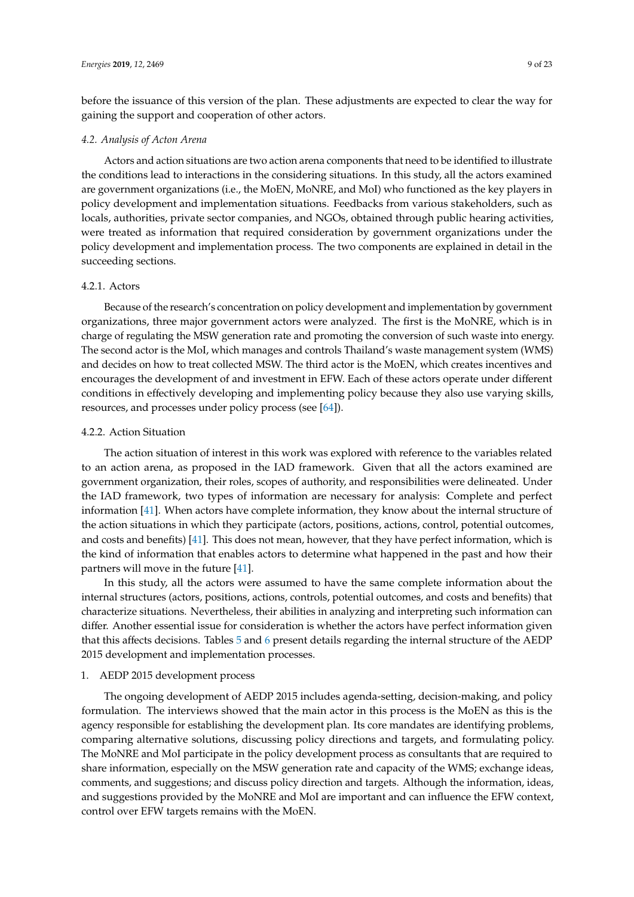before the issuance of this version of the plan. These adjustments are expected to clear the way for gaining the support and cooperation of other actors.

#### *4.2. Analysis of Acton Arena*

Actors and action situations are two action arena components that need to be identified to illustrate the conditions lead to interactions in the considering situations. In this study, all the actors examined are government organizations (i.e., the MoEN, MoNRE, and MoI) who functioned as the key players in policy development and implementation situations. Feedbacks from various stakeholders, such as locals, authorities, private sector companies, and NGOs, obtained through public hearing activities, were treated as information that required consideration by government organizations under the policy development and implementation process. The two components are explained in detail in the succeeding sections.

## 4.2.1. Actors

Because of the research's concentration on policy development and implementation by government organizations, three major government actors were analyzed. The first is the MoNRE, which is in charge of regulating the MSW generation rate and promoting the conversion of such waste into energy. The second actor is the MoI, which manages and controls Thailand's waste management system (WMS) and decides on how to treat collected MSW. The third actor is the MoEN, which creates incentives and encourages the development of and investment in EFW. Each of these actors operate under different conditions in effectively developing and implementing policy because they also use varying skills, resources, and processes under policy process (see [\[64\]](#page-21-22)).

#### 4.2.2. Action Situation

The action situation of interest in this work was explored with reference to the variables related to an action arena, as proposed in the IAD framework. Given that all the actors examined are government organization, their roles, scopes of authority, and responsibilities were delineated. Under the IAD framework, two types of information are necessary for analysis: Complete and perfect information [\[41\]](#page-21-0). When actors have complete information, they know about the internal structure of the action situations in which they participate (actors, positions, actions, control, potential outcomes, and costs and benefits) [\[41\]](#page-21-0). This does not mean, however, that they have perfect information, which is the kind of information that enables actors to determine what happened in the past and how their partners will move in the future [\[41\]](#page-21-0).

In this study, all the actors were assumed to have the same complete information about the internal structures (actors, positions, actions, controls, potential outcomes, and costs and benefits) that characterize situations. Nevertheless, their abilities in analyzing and interpreting such information can differ. Another essential issue for consideration is whether the actors have perfect information given that this affects decisions. Tables [5](#page-9-0) and [6](#page-10-0) present details regarding the internal structure of the AEDP 2015 development and implementation processes.

## 1. AEDP 2015 development process

The ongoing development of AEDP 2015 includes agenda-setting, decision-making, and policy formulation. The interviews showed that the main actor in this process is the MoEN as this is the agency responsible for establishing the development plan. Its core mandates are identifying problems, comparing alternative solutions, discussing policy directions and targets, and formulating policy. The MoNRE and MoI participate in the policy development process as consultants that are required to share information, especially on the MSW generation rate and capacity of the WMS; exchange ideas, comments, and suggestions; and discuss policy direction and targets. Although the information, ideas, and suggestions provided by the MoNRE and MoI are important and can influence the EFW context, control over EFW targets remains with the MoEN.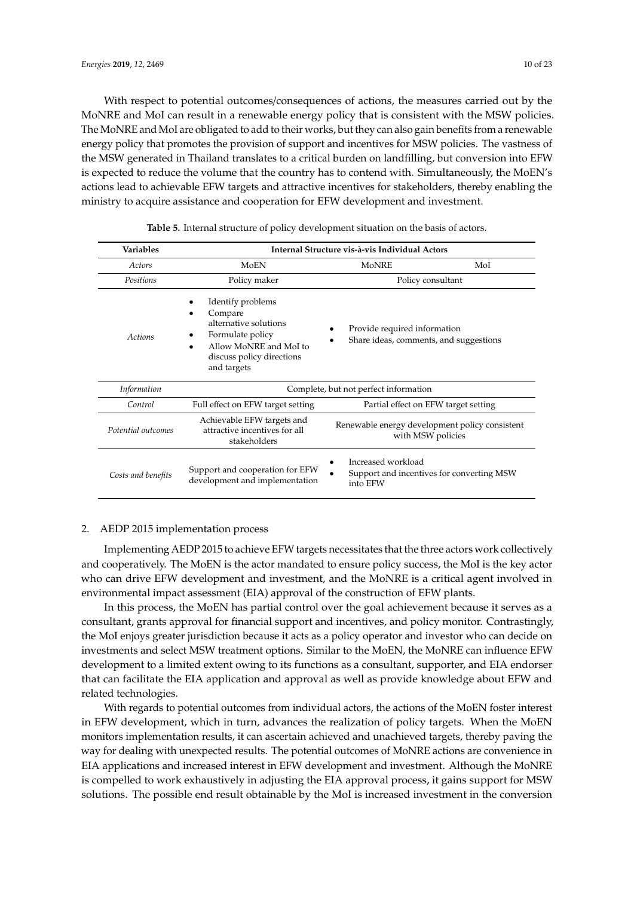With respect to potential outcomes/consequences of actions, the measures carried out by the MoNRE and MoI can result in a renewable energy policy that is consistent with the MSW policies. The MoNRE and MoI are obligated to add to their works, but they can also gain benefits from a renewable energy policy that promotes the provision of support and incentives for MSW policies. The vastness of the MSW generated in Thailand translates to a critical burden on landfilling, but conversion into EFW is expected to reduce the volume that the country has to contend with. Simultaneously, the MoEN's actions lead to achievable EFW targets and attractive incentives for stakeholders, thereby enabling the ministry to acquire assistance and cooperation for EFW development and investment.

<span id="page-9-0"></span>

| <b>Variables</b>   |                                                                                                                                                 | Internal Structure vis-à-vis Individual Actors                              |     |
|--------------------|-------------------------------------------------------------------------------------------------------------------------------------------------|-----------------------------------------------------------------------------|-----|
| Actors             | MoEN                                                                                                                                            | MoNRE                                                                       | MoI |
| Positions          | Policy maker                                                                                                                                    | Policy consultant                                                           |     |
| Actions            | Identify problems<br>Compare<br>alternative solutions<br>Formulate policy<br>Allow MoNRE and MoI to<br>discuss policy directions<br>and targets | Provide required information<br>Share ideas, comments, and suggestions      |     |
| <i>Information</i> |                                                                                                                                                 | Complete, but not perfect information                                       |     |
| Control            | Full effect on EFW target setting                                                                                                               | Partial effect on EFW target setting                                        |     |
| Potential outcomes | Achievable EFW targets and<br>attractive incentives for all<br>stakeholders                                                                     | Renewable energy development policy consistent<br>with MSW policies         |     |
| Costs and benefits | Support and cooperation for EFW<br>development and implementation                                                                               | Increased workload<br>Support and incentives for converting MSW<br>into EFW |     |

**Table 5.** Internal structure of policy development situation on the basis of actors.

## 2. AEDP 2015 implementation process

Implementing AEDP 2015 to achieve EFW targets necessitates that the three actors work collectively and cooperatively. The MoEN is the actor mandated to ensure policy success, the MoI is the key actor who can drive EFW development and investment, and the MoNRE is a critical agent involved in environmental impact assessment (EIA) approval of the construction of EFW plants.

In this process, the MoEN has partial control over the goal achievement because it serves as a consultant, grants approval for financial support and incentives, and policy monitor. Contrastingly, the MoI enjoys greater jurisdiction because it acts as a policy operator and investor who can decide on investments and select MSW treatment options. Similar to the MoEN, the MoNRE can influence EFW development to a limited extent owing to its functions as a consultant, supporter, and EIA endorser that can facilitate the EIA application and approval as well as provide knowledge about EFW and related technologies.

With regards to potential outcomes from individual actors, the actions of the MoEN foster interest in EFW development, which in turn, advances the realization of policy targets. When the MoEN monitors implementation results, it can ascertain achieved and unachieved targets, thereby paving the way for dealing with unexpected results. The potential outcomes of MoNRE actions are convenience in EIA applications and increased interest in EFW development and investment. Although the MoNRE is compelled to work exhaustively in adjusting the EIA approval process, it gains support for MSW solutions. The possible end result obtainable by the MoI is increased investment in the conversion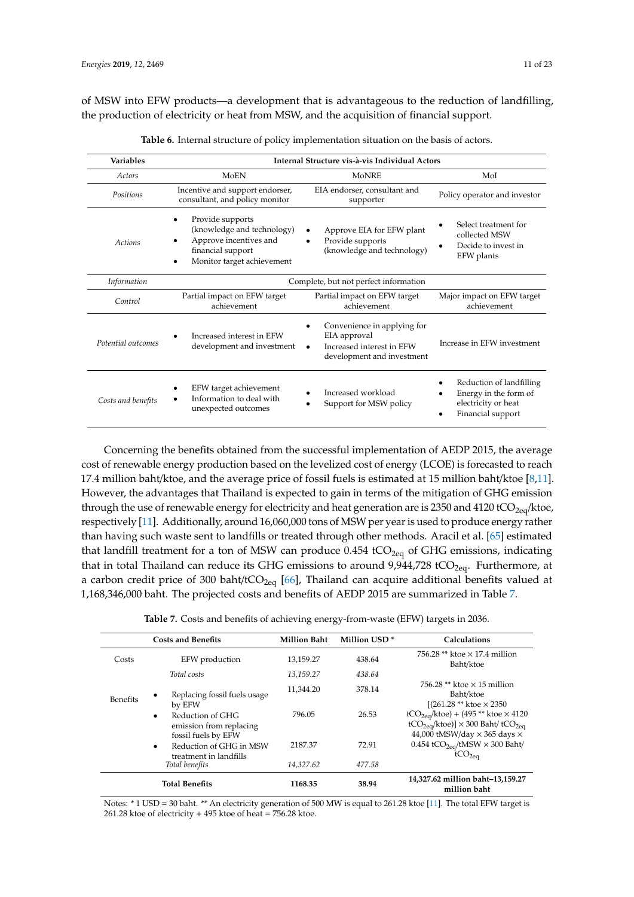of MSW into EFW products—a development that is advantageous to the reduction of landfilling, the production of electricity or heat from MSW, and the acquisition of financial support.

<span id="page-10-0"></span>

| <b>Variables</b>   | Internal Structure vis-à-vis Individual Actors                                                                              |                                                                                                                     |                                                                                               |
|--------------------|-----------------------------------------------------------------------------------------------------------------------------|---------------------------------------------------------------------------------------------------------------------|-----------------------------------------------------------------------------------------------|
| Actors             | MoEN<br><b>MoNRE</b><br>MoI                                                                                                 |                                                                                                                     |                                                                                               |
| Positions          | Incentive and support endorser,<br>consultant, and policy monitor                                                           | EIA endorser, consultant and<br>supporter                                                                           | Policy operator and investor                                                                  |
| Actions            | Provide supports<br>(knowledge and technology)<br>Approve incentives and<br>financial support<br>Monitor target achievement | Approve EIA for EFW plant<br>Provide supports<br>$\bullet$<br>(knowledge and technology)                            | Select treatment for<br>collected MSW<br>Decide to invest in<br>$\bullet$<br>EFW plants       |
| <i>Information</i> | Complete, but not perfect information                                                                                       |                                                                                                                     |                                                                                               |
| Control            | Partial impact on EFW target<br>Partial impact on EFW target<br>achievement<br>achievement                                  |                                                                                                                     | Major impact on EFW target<br>achievement                                                     |
| Potential outcomes | Increased interest in EFW<br>development and investment                                                                     | Convenience in applying for<br>EIA approval<br>Increased interest in EFW<br>$\bullet$<br>development and investment | Increase in EFW investment                                                                    |
| Costs and benefits | EFW target achievement<br>Information to deal with<br>unexpected outcomes                                                   | Increased workload<br>Support for MSW policy                                                                        | Reduction of landfilling<br>Energy in the form of<br>electricity or heat<br>Financial support |

**Table 6.** Internal structure of policy implementation situation on the basis of actors.

Concerning the benefits obtained from the successful implementation of AEDP 2015, the average cost of renewable energy production based on the levelized cost of energy (LCOE) is forecasted to reach 17.4 million baht/ktoe, and the average price of fossil fuels is estimated at 15 million baht/ktoe [\[8,](#page-19-7)[11\]](#page-19-10). However, the advantages that Thailand is expected to gain in terms of the mitigation of GHG emission through the use of renewable energy for electricity and heat generation are is 2350 and 4120 tCO<sub>2eq</sub>/ktoe, respectively [\[11\]](#page-19-10). Additionally, around 16,060,000 tons of MSW per year is used to produce energy rather than having such waste sent to landfills or treated through other methods. Aracil et al. [\[65\]](#page-21-23) estimated that landfill treatment for a ton of MSW can produce  $0.454$  tCO<sub>2eq</sub> of GHG emissions, indicating that in total Thailand can reduce its GHG emissions to around  $9,944,728$  tCO<sub>2eq</sub>. Furthermore, at a carbon credit price of 300 baht/t $CO<sub>2eq</sub>$  [\[66\]](#page-21-24), Thailand can acquire additional benefits valued at 1,168,346,000 baht. The projected costs and benefits of AEDP 2015 are summarized in Table [7.](#page-10-1)

**Table 7.** Costs and benefits of achieving energy-from-waste (EFW) targets in 2036.

<span id="page-10-1"></span>

|                 | <b>Costs and Benefits</b>                                                       | <b>Million Baht</b> | Million USD <sup>*</sup> | Calculations                                                                                                                                              |
|-----------------|---------------------------------------------------------------------------------|---------------------|--------------------------|-----------------------------------------------------------------------------------------------------------------------------------------------------------|
| Costs           | EFW production                                                                  | 13,159.27           | 438.64                   | $756.28**$ ktoe $\times$ 17.4 million<br>Baht/ktoe                                                                                                        |
|                 | Total costs                                                                     | 13,159.27           | 438.64                   |                                                                                                                                                           |
| <b>Benefits</b> | Replacing fossil fuels usage<br>$\bullet$<br>by EFW                             | 11,344.20           | 378.14                   | 756.28 ** ktoe $\times$ 15 million<br>Baht/ktoe<br>$[(261.28 ** ktoe \times 2350$                                                                         |
|                 | Reduction of GHG<br>$\bullet$<br>emission from replacing<br>fossil fuels by EFW | 796.05              | 26.53                    | $tCO_{2eq}/k$ toe) + (495 ** ktoe × 4120<br>tCO <sub>2eq</sub> /ktoe)] $\times$ 300 Baht/tCO <sub>2eq</sub><br>44,000 tMSW/day $\times$ 365 days $\times$ |
|                 | Reduction of GHG in MSW<br>$\bullet$<br>treatment in landfills                  | 2187.37             | 72.91                    | 0.454 tCO <sub>2eq</sub> /tMSW $\times$ 300 Baht/<br>tCO <sub>2eq</sub>                                                                                   |
|                 | Total benefits                                                                  | 14,327.62           | 477.58                   |                                                                                                                                                           |
|                 | <b>Total Benefits</b>                                                           | 1168.35             | 38.94                    | 14,327.62 million baht-13,159.27<br>million baht                                                                                                          |

Notes: \* 1 USD = 30 baht. \*\* An electricity generation of 500 MW is equal to 261.28 ktoe [\[11\]](#page-19-10). The total EFW target is 261.28 ktoe of electricity  $+495$  ktoe of heat = 756.28 ktoe.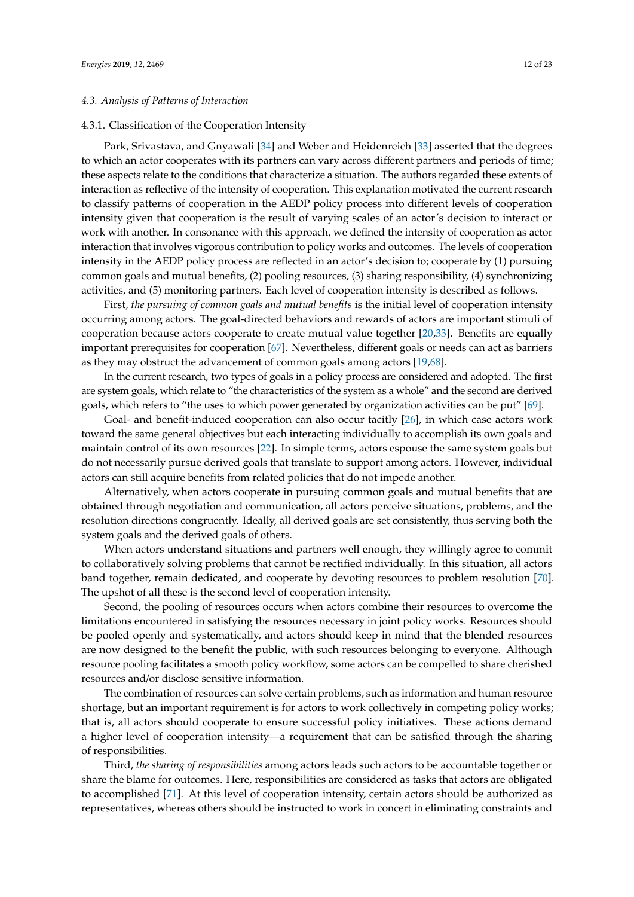#### *4.3. Analysis of Patterns of Interaction*

#### 4.3.1. Classification of the Cooperation Intensity

Park, Srivastava, and Gnyawali [\[34\]](#page-20-17) and Weber and Heidenreich [\[33\]](#page-20-16) asserted that the degrees to which an actor cooperates with its partners can vary across different partners and periods of time; these aspects relate to the conditions that characterize a situation. The authors regarded these extents of interaction as reflective of the intensity of cooperation. This explanation motivated the current research to classify patterns of cooperation in the AEDP policy process into different levels of cooperation intensity given that cooperation is the result of varying scales of an actor's decision to interact or work with another. In consonance with this approach, we defined the intensity of cooperation as actor interaction that involves vigorous contribution to policy works and outcomes. The levels of cooperation intensity in the AEDP policy process are reflected in an actor's decision to; cooperate by (1) pursuing common goals and mutual benefits, (2) pooling resources, (3) sharing responsibility, (4) synchronizing activities, and (5) monitoring partners. Each level of cooperation intensity is described as follows.

First, *the pursuing of common goals and mutual benefits* is the initial level of cooperation intensity occurring among actors. The goal-directed behaviors and rewards of actors are important stimuli of cooperation because actors cooperate to create mutual value together [\[20](#page-20-4)[,33\]](#page-20-16). Benefits are equally important prerequisites for cooperation [\[67\]](#page-22-0). Nevertheless, different goals or needs can act as barriers as they may obstruct the advancement of common goals among actors [\[19](#page-20-3)[,68\]](#page-22-1).

In the current research, two types of goals in a policy process are considered and adopted. The first are system goals, which relate to "the characteristics of the system as a whole" and the second are derived goals, which refers to "the uses to which power generated by organization activities can be put" [\[69\]](#page-22-2).

Goal- and benefit-induced cooperation can also occur tacitly [\[26\]](#page-20-10), in which case actors work toward the same general objectives but each interacting individually to accomplish its own goals and maintain control of its own resources [\[22\]](#page-20-6). In simple terms, actors espouse the same system goals but do not necessarily pursue derived goals that translate to support among actors. However, individual actors can still acquire benefits from related policies that do not impede another.

Alternatively, when actors cooperate in pursuing common goals and mutual benefits that are obtained through negotiation and communication, all actors perceive situations, problems, and the resolution directions congruently. Ideally, all derived goals are set consistently, thus serving both the system goals and the derived goals of others.

When actors understand situations and partners well enough, they willingly agree to commit to collaboratively solving problems that cannot be rectified individually. In this situation, all actors band together, remain dedicated, and cooperate by devoting resources to problem resolution [\[70\]](#page-22-3). The upshot of all these is the second level of cooperation intensity.

Second, the pooling of resources occurs when actors combine their resources to overcome the limitations encountered in satisfying the resources necessary in joint policy works. Resources should be pooled openly and systematically, and actors should keep in mind that the blended resources are now designed to the benefit the public, with such resources belonging to everyone. Although resource pooling facilitates a smooth policy workflow, some actors can be compelled to share cherished resources and/or disclose sensitive information.

The combination of resources can solve certain problems, such as information and human resource shortage, but an important requirement is for actors to work collectively in competing policy works; that is, all actors should cooperate to ensure successful policy initiatives. These actions demand a higher level of cooperation intensity—a requirement that can be satisfied through the sharing of responsibilities.

Third, *the sharing of responsibilities* among actors leads such actors to be accountable together or share the blame for outcomes. Here, responsibilities are considered as tasks that actors are obligated to accomplished [\[71\]](#page-22-4). At this level of cooperation intensity, certain actors should be authorized as representatives, whereas others should be instructed to work in concert in eliminating constraints and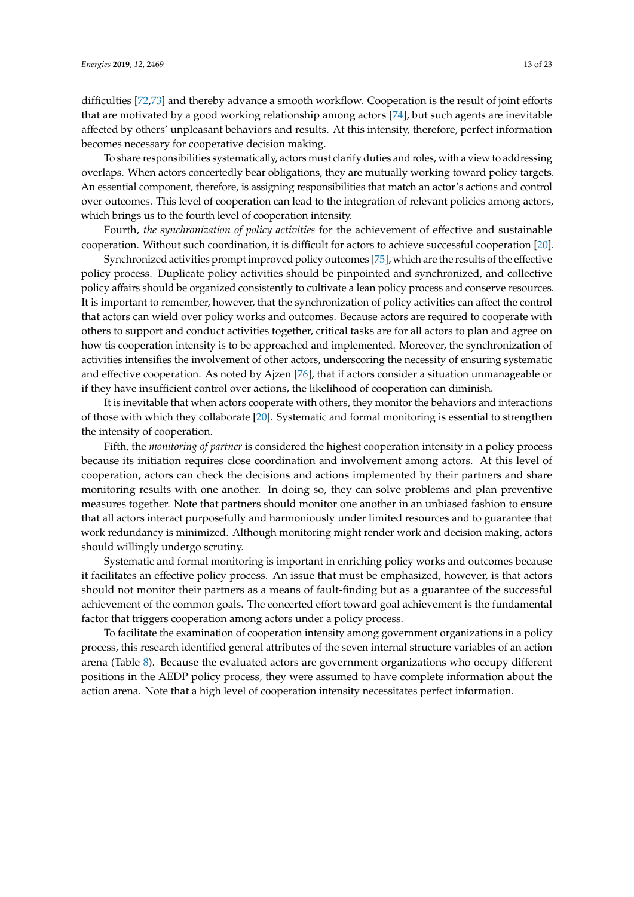difficulties [\[72](#page-22-5)[,73\]](#page-22-6) and thereby advance a smooth workflow. Cooperation is the result of joint efforts that are motivated by a good working relationship among actors [\[74\]](#page-22-7), but such agents are inevitable affected by others' unpleasant behaviors and results. At this intensity, therefore, perfect information becomes necessary for cooperative decision making.

To share responsibilities systematically, actors must clarify duties and roles, with a view to addressing overlaps. When actors concertedly bear obligations, they are mutually working toward policy targets. An essential component, therefore, is assigning responsibilities that match an actor's actions and control over outcomes. This level of cooperation can lead to the integration of relevant policies among actors, which brings us to the fourth level of cooperation intensity.

Fourth, *the synchronization of policy activities* for the achievement of effective and sustainable cooperation. Without such coordination, it is difficult for actors to achieve successful cooperation [\[20\]](#page-20-4).

Synchronized activities prompt improved policy outcomes [\[75\]](#page-22-8), which are the results of the effective policy process. Duplicate policy activities should be pinpointed and synchronized, and collective policy affairs should be organized consistently to cultivate a lean policy process and conserve resources. It is important to remember, however, that the synchronization of policy activities can affect the control that actors can wield over policy works and outcomes. Because actors are required to cooperate with others to support and conduct activities together, critical tasks are for all actors to plan and agree on how tis cooperation intensity is to be approached and implemented. Moreover, the synchronization of activities intensifies the involvement of other actors, underscoring the necessity of ensuring systematic and effective cooperation. As noted by Ajzen [\[76\]](#page-22-9), that if actors consider a situation unmanageable or if they have insufficient control over actions, the likelihood of cooperation can diminish.

It is inevitable that when actors cooperate with others, they monitor the behaviors and interactions of those with which they collaborate [\[20\]](#page-20-4). Systematic and formal monitoring is essential to strengthen the intensity of cooperation.

Fifth, the *monitoring of partner* is considered the highest cooperation intensity in a policy process because its initiation requires close coordination and involvement among actors. At this level of cooperation, actors can check the decisions and actions implemented by their partners and share monitoring results with one another. In doing so, they can solve problems and plan preventive measures together. Note that partners should monitor one another in an unbiased fashion to ensure that all actors interact purposefully and harmoniously under limited resources and to guarantee that work redundancy is minimized. Although monitoring might render work and decision making, actors should willingly undergo scrutiny.

Systematic and formal monitoring is important in enriching policy works and outcomes because it facilitates an effective policy process. An issue that must be emphasized, however, is that actors should not monitor their partners as a means of fault-finding but as a guarantee of the successful achievement of the common goals. The concerted effort toward goal achievement is the fundamental factor that triggers cooperation among actors under a policy process.

To facilitate the examination of cooperation intensity among government organizations in a policy process, this research identified general attributes of the seven internal structure variables of an action arena (Table [8\)](#page-13-0). Because the evaluated actors are government organizations who occupy different positions in the AEDP policy process, they were assumed to have complete information about the action arena. Note that a high level of cooperation intensity necessitates perfect information.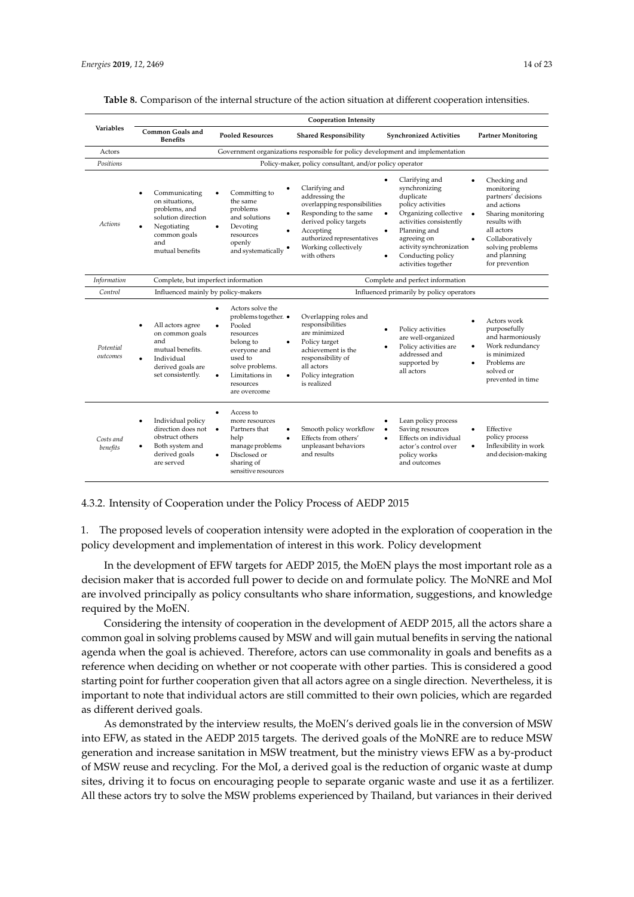|--|

<span id="page-13-0"></span>

|                       | <b>Cooperation Intensity</b>                                                                                                            |                                                                                                                                                                                                     |                                                                                                                                                                                                             |                                                                                                                                                                                                                                                     |                                                                                                                                                                                               |  |
|-----------------------|-----------------------------------------------------------------------------------------------------------------------------------------|-----------------------------------------------------------------------------------------------------------------------------------------------------------------------------------------------------|-------------------------------------------------------------------------------------------------------------------------------------------------------------------------------------------------------------|-----------------------------------------------------------------------------------------------------------------------------------------------------------------------------------------------------------------------------------------------------|-----------------------------------------------------------------------------------------------------------------------------------------------------------------------------------------------|--|
| <b>Variables</b>      | <b>Common Goals and</b><br><b>Pooled Resources</b><br><b>Shared Responsibility</b><br><b>Synchronized Activities</b><br><b>Benefits</b> |                                                                                                                                                                                                     | <b>Partner Monitoring</b>                                                                                                                                                                                   |                                                                                                                                                                                                                                                     |                                                                                                                                                                                               |  |
| Actors                |                                                                                                                                         |                                                                                                                                                                                                     | Government organizations responsible for policy development and implementation                                                                                                                              |                                                                                                                                                                                                                                                     |                                                                                                                                                                                               |  |
| Positions             |                                                                                                                                         |                                                                                                                                                                                                     | Policy-maker, policy consultant, and/or policy operator                                                                                                                                                     |                                                                                                                                                                                                                                                     |                                                                                                                                                                                               |  |
| <b>Actions</b>        | Communicating<br>on situations.<br>problems, and<br>solution direction<br>Negotiating<br>common goals<br>and<br>mutual benefits         | Committing to<br>$\bullet$<br>the same<br>problems<br>and solutions<br>Devoting<br>resources<br>openly<br>and systematically •                                                                      | Clarifying and<br>addressing the<br>overlapping responsibilities<br>Responding to the same<br>٠<br>derived policy targets<br>Accepting<br>authorized representatives<br>Working collectively<br>with others | Clarifying and<br>synchronizing<br>duplicate<br>policy activities<br>Organizing collective<br>$\bullet$<br>activities consistently<br>Planning and<br>٠<br>agreeing on<br>activity synchronization<br>Conducting policy<br>٠<br>activities together | Checking and<br>monitoring<br>partners' decisions<br>and actions<br>Sharing monitoring<br>results with<br>all actors<br>Collaboratively<br>solving problems<br>and planning<br>for prevention |  |
| Information           | Complete, but imperfect information                                                                                                     |                                                                                                                                                                                                     |                                                                                                                                                                                                             | Complete and perfect information                                                                                                                                                                                                                    |                                                                                                                                                                                               |  |
| Control               | Influenced mainly by policy-makers                                                                                                      |                                                                                                                                                                                                     |                                                                                                                                                                                                             | Influenced primarily by policy operators                                                                                                                                                                                                            |                                                                                                                                                                                               |  |
| Potential<br>outcomes | All actors agree<br>on common goals<br>and<br>mutual benefits.<br>Individual<br>derived goals are<br>set consistently.                  | Actors solve the<br>$\bullet$<br>problems together. •<br>Pooled<br>$\bullet$<br>resources<br>belong to<br>everyone and<br>used to<br>solve problems.<br>Limitations in<br>resources<br>are overcome | Overlapping roles and<br>responsibilities<br>are minimized<br>Policy target<br>achievement is the<br>responsibility of<br>all actors<br>Policy integration<br>is realized                                   | Policy activities<br>$\bullet$<br>are well-organized<br>Policy activities are<br>٠<br>addressed and<br>supported by<br>all actors                                                                                                                   | Actors work<br>$\bullet$<br>purposefully<br>and harmoniously<br>Work redundancy<br>٠<br>is minimized<br>Problems are<br>$\bullet$<br>solved or<br>prevented in time                           |  |
| Costs and<br>benefits | Individual policy<br>direction does not<br>obstruct others<br>Both system and<br>derived goals<br>are served                            | Access to<br>$\bullet$<br>more resources<br>Partners that<br>help<br>manage problems<br>Disclosed or<br>sharing of<br>sensitive resources                                                           | Smooth policy workflow<br>Effects from others'<br>unpleasant behaviors<br>and results                                                                                                                       | Lean policy process<br>٠<br>Saving resources<br>Effects on individual<br>$\bullet$<br>actor's control over<br>policy works<br>and outcomes                                                                                                          | Effective<br>$\bullet$<br>policy process<br>Inflexibility in work<br>٠<br>and decision-making                                                                                                 |  |

4.3.2. Intensity of Cooperation under the Policy Process of AEDP 2015

1. The proposed levels of cooperation intensity were adopted in the exploration of cooperation in the policy development and implementation of interest in this work. Policy development

In the development of EFW targets for AEDP 2015, the MoEN plays the most important role as a decision maker that is accorded full power to decide on and formulate policy. The MoNRE and MoI are involved principally as policy consultants who share information, suggestions, and knowledge required by the MoEN.

Considering the intensity of cooperation in the development of AEDP 2015, all the actors share a common goal in solving problems caused by MSW and will gain mutual benefits in serving the national agenda when the goal is achieved. Therefore, actors can use commonality in goals and benefits as a reference when deciding on whether or not cooperate with other parties. This is considered a good starting point for further cooperation given that all actors agree on a single direction. Nevertheless, it is important to note that individual actors are still committed to their own policies, which are regarded as different derived goals.

As demonstrated by the interview results, the MoEN's derived goals lie in the conversion of MSW into EFW, as stated in the AEDP 2015 targets. The derived goals of the MoNRE are to reduce MSW generation and increase sanitation in MSW treatment, but the ministry views EFW as a by-product of MSW reuse and recycling. For the MoI, a derived goal is the reduction of organic waste at dump sites, driving it to focus on encouraging people to separate organic waste and use it as a fertilizer. All these actors try to solve the MSW problems experienced by Thailand, but variances in their derived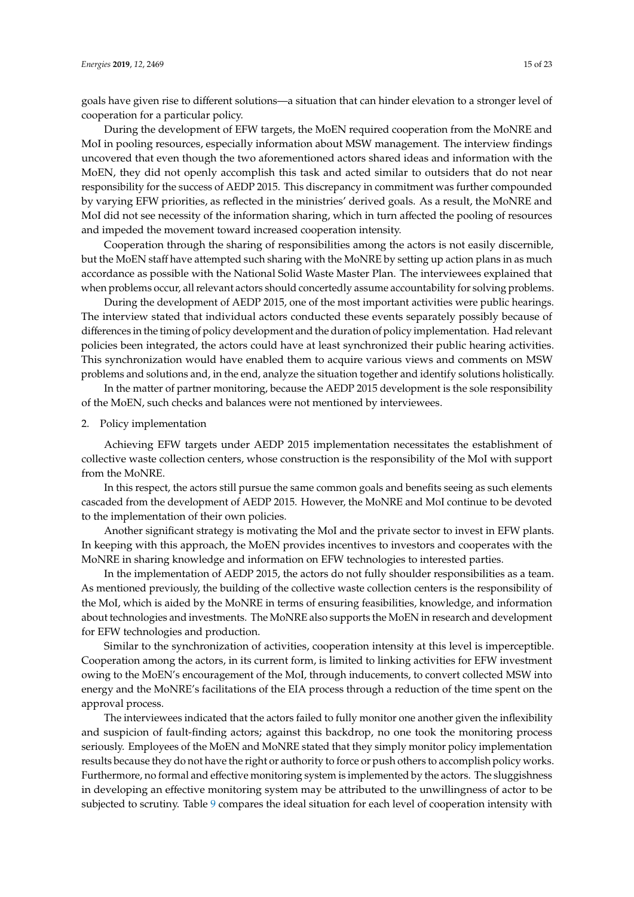goals have given rise to different solutions—a situation that can hinder elevation to a stronger level of cooperation for a particular policy.

During the development of EFW targets, the MoEN required cooperation from the MoNRE and MoI in pooling resources, especially information about MSW management. The interview findings uncovered that even though the two aforementioned actors shared ideas and information with the MoEN, they did not openly accomplish this task and acted similar to outsiders that do not near responsibility for the success of AEDP 2015. This discrepancy in commitment was further compounded by varying EFW priorities, as reflected in the ministries' derived goals. As a result, the MoNRE and MoI did not see necessity of the information sharing, which in turn affected the pooling of resources and impeded the movement toward increased cooperation intensity.

Cooperation through the sharing of responsibilities among the actors is not easily discernible, but the MoEN staff have attempted such sharing with the MoNRE by setting up action plans in as much accordance as possible with the National Solid Waste Master Plan. The interviewees explained that when problems occur, all relevant actors should concertedly assume accountability for solving problems.

During the development of AEDP 2015, one of the most important activities were public hearings. The interview stated that individual actors conducted these events separately possibly because of differences in the timing of policy development and the duration of policy implementation. Had relevant policies been integrated, the actors could have at least synchronized their public hearing activities. This synchronization would have enabled them to acquire various views and comments on MSW problems and solutions and, in the end, analyze the situation together and identify solutions holistically.

In the matter of partner monitoring, because the AEDP 2015 development is the sole responsibility of the MoEN, such checks and balances were not mentioned by interviewees.

2. Policy implementation

Achieving EFW targets under AEDP 2015 implementation necessitates the establishment of collective waste collection centers, whose construction is the responsibility of the MoI with support from the MoNRE.

In this respect, the actors still pursue the same common goals and benefits seeing as such elements cascaded from the development of AEDP 2015. However, the MoNRE and MoI continue to be devoted to the implementation of their own policies.

Another significant strategy is motivating the MoI and the private sector to invest in EFW plants. In keeping with this approach, the MoEN provides incentives to investors and cooperates with the MoNRE in sharing knowledge and information on EFW technologies to interested parties.

In the implementation of AEDP 2015, the actors do not fully shoulder responsibilities as a team. As mentioned previously, the building of the collective waste collection centers is the responsibility of the MoI, which is aided by the MoNRE in terms of ensuring feasibilities, knowledge, and information about technologies and investments. The MoNRE also supports the MoEN in research and development for EFW technologies and production.

Similar to the synchronization of activities, cooperation intensity at this level is imperceptible. Cooperation among the actors, in its current form, is limited to linking activities for EFW investment owing to the MoEN's encouragement of the MoI, through inducements, to convert collected MSW into energy and the MoNRE's facilitations of the EIA process through a reduction of the time spent on the approval process.

The interviewees indicated that the actors failed to fully monitor one another given the inflexibility and suspicion of fault-finding actors; against this backdrop, no one took the monitoring process seriously. Employees of the MoEN and MoNRE stated that they simply monitor policy implementation results because they do not have the right or authority to force or push others to accomplish policy works. Furthermore, no formal and effective monitoring system is implemented by the actors. The sluggishness in developing an effective monitoring system may be attributed to the unwillingness of actor to be subjected to scrutiny. Table [9](#page-15-0) compares the ideal situation for each level of cooperation intensity with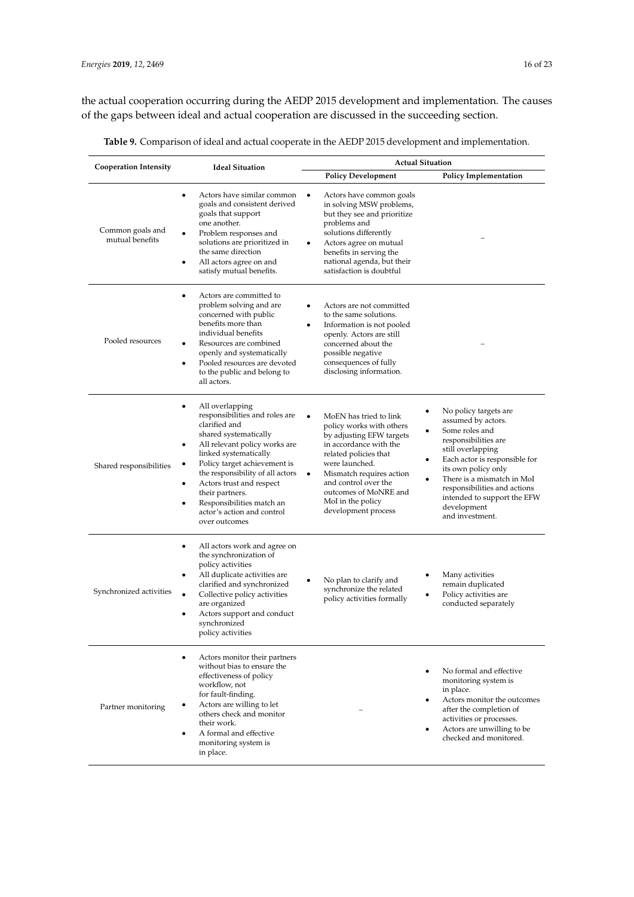the actual cooperation occurring during the AEDP 2015 development and implementation. The causes of the gaps between ideal and actual cooperation are discussed in the succeeding section.

| <b>Cooperation Intensity</b>        | <b>Ideal Situation</b>                                                                                                                                                                                                                                                                                                                               | <b>Actual Situation</b>                                                                                                                                                                                                                                                                             |                                                                                                                                                                                                                                                                                                   |  |
|-------------------------------------|------------------------------------------------------------------------------------------------------------------------------------------------------------------------------------------------------------------------------------------------------------------------------------------------------------------------------------------------------|-----------------------------------------------------------------------------------------------------------------------------------------------------------------------------------------------------------------------------------------------------------------------------------------------------|---------------------------------------------------------------------------------------------------------------------------------------------------------------------------------------------------------------------------------------------------------------------------------------------------|--|
|                                     |                                                                                                                                                                                                                                                                                                                                                      | <b>Policy Development</b>                                                                                                                                                                                                                                                                           | <b>Policy Implementation</b>                                                                                                                                                                                                                                                                      |  |
| Common goals and<br>mutual benefits | Actors have similar common<br>goals and consistent derived<br>goals that support<br>one another.<br>Problem responses and<br>solutions are prioritized in<br>the same direction<br>All actors agree on and<br>satisfy mutual benefits.                                                                                                               | Actors have common goals<br>in solving MSW problems,<br>but they see and prioritize<br>problems and<br>solutions differently<br>Actors agree on mutual<br>benefits in serving the<br>national agenda, but their<br>satisfaction is doubtful                                                         |                                                                                                                                                                                                                                                                                                   |  |
| Pooled resources                    | Actors are committed to<br>problem solving and are<br>concerned with public<br>benefits more than<br>individual benefits<br>Resources are combined<br>openly and systematically<br>Pooled resources are devoted<br>$\bullet$<br>to the public and belong to<br>all actors.                                                                           | Actors are not committed<br>to the same solutions.<br>Information is not pooled<br>٠<br>openly. Actors are still<br>concerned about the<br>possible negative<br>consequences of fully<br>disclosing information.                                                                                    |                                                                                                                                                                                                                                                                                                   |  |
| Shared responsibilities             | All overlapping<br>responsibilities and roles are<br>clarified and<br>shared systematically<br>All relevant policy works are<br>linked systematically<br>Policy target achievement is<br>the responsibility of all actors<br>Actors trust and respect<br>their partners.<br>Responsibilities match an<br>actor's action and control<br>over outcomes | MoEN has tried to link<br>policy works with others<br>by adjusting EFW targets<br>in accordance with the<br>related policies that<br>٠<br>were launched.<br>Mismatch requires action<br>$\bullet$<br>٠<br>and control over the<br>outcomes of MoNRE and<br>MoI in the policy<br>development process | No policy targets are<br>assumed by actors.<br>Some roles and<br>responsibilities are<br>still overlapping<br>Each actor is responsible for<br>its own policy only<br>There is a mismatch in MoI<br>responsibilities and actions<br>intended to support the EFW<br>development<br>and investment. |  |
| Synchronized activities             | All actors work and agree on<br>the synchronization of<br>policy activities<br>All duplicate activities are<br>clarified and synchronized<br>Collective policy activities<br>are organized<br>Actors support and conduct<br>synchronized<br>policy activities                                                                                        | No plan to clarify and<br>synchronize the related<br>٠<br>policy activities formally                                                                                                                                                                                                                | Many activities<br>remain duplicated<br>Policy activities are<br>conducted separately                                                                                                                                                                                                             |  |
| Partner monitoring                  | Actors monitor their partners<br>$\bullet$<br>without bias to ensure the<br>effectiveness of policy<br>workflow, not<br>for fault-finding.<br>Actors are willing to let<br>$\bullet$<br>others check and monitor<br>their work.<br>A formal and effective<br>$\bullet$<br>monitoring system is<br>in place.                                          | ٠<br>٠<br>٠                                                                                                                                                                                                                                                                                         | No formal and effective<br>monitoring system is<br>in place.<br>Actors monitor the outcomes<br>after the completion of<br>activities or processes.<br>Actors are unwilling to be<br>checked and monitored.                                                                                        |  |

<span id="page-15-0"></span>**Table 9.** Comparison of ideal and actual cooperate in the AEDP 2015 development and implementation.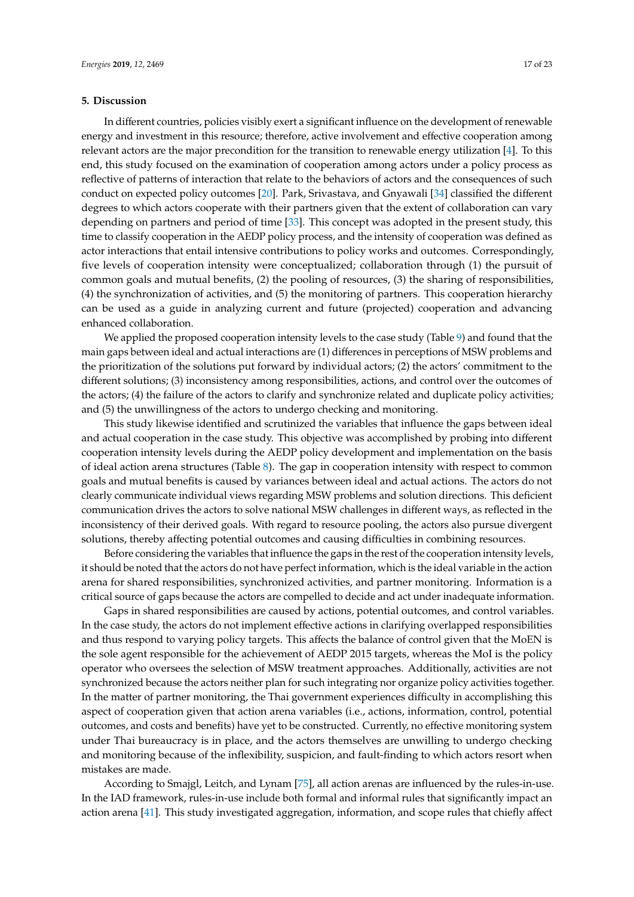#### <span id="page-16-0"></span>**5. Discussion**

In different countries, policies visibly exert a significant influence on the development of renewable energy and investment in this resource; therefore, active involvement and effective cooperation among relevant actors are the major precondition for the transition to renewable energy utilization [\[4\]](#page-19-3). To this end, this study focused on the examination of cooperation among actors under a policy process as reflective of patterns of interaction that relate to the behaviors of actors and the consequences of such conduct on expected policy outcomes [\[20\]](#page-20-4). Park, Srivastava, and Gnyawali [\[34\]](#page-20-17) classified the different degrees to which actors cooperate with their partners given that the extent of collaboration can vary depending on partners and period of time [\[33\]](#page-20-16). This concept was adopted in the present study, this time to classify cooperation in the AEDP policy process, and the intensity of cooperation was defined as actor interactions that entail intensive contributions to policy works and outcomes. Correspondingly, five levels of cooperation intensity were conceptualized; collaboration through (1) the pursuit of common goals and mutual benefits, (2) the pooling of resources, (3) the sharing of responsibilities, (4) the synchronization of activities, and (5) the monitoring of partners. This cooperation hierarchy can be used as a guide in analyzing current and future (projected) cooperation and advancing enhanced collaboration.

We applied the proposed cooperation intensity levels to the case study (Table [9\)](#page-15-0) and found that the main gaps between ideal and actual interactions are (1) differences in perceptions of MSW problems and the prioritization of the solutions put forward by individual actors; (2) the actors' commitment to the different solutions; (3) inconsistency among responsibilities, actions, and control over the outcomes of the actors; (4) the failure of the actors to clarify and synchronize related and duplicate policy activities; and (5) the unwillingness of the actors to undergo checking and monitoring.

This study likewise identified and scrutinized the variables that influence the gaps between ideal and actual cooperation in the case study. This objective was accomplished by probing into different cooperation intensity levels during the AEDP policy development and implementation on the basis of ideal action arena structures (Table [8\)](#page-13-0). The gap in cooperation intensity with respect to common goals and mutual benefits is caused by variances between ideal and actual actions. The actors do not clearly communicate individual views regarding MSW problems and solution directions. This deficient communication drives the actors to solve national MSW challenges in different ways, as reflected in the inconsistency of their derived goals. With regard to resource pooling, the actors also pursue divergent solutions, thereby affecting potential outcomes and causing difficulties in combining resources.

Before considering the variables that influence the gaps in the rest of the cooperation intensity levels, it should be noted that the actors do not have perfect information, which is the ideal variable in the action arena for shared responsibilities, synchronized activities, and partner monitoring. Information is a critical source of gaps because the actors are compelled to decide and act under inadequate information.

Gaps in shared responsibilities are caused by actions, potential outcomes, and control variables. In the case study, the actors do not implement effective actions in clarifying overlapped responsibilities and thus respond to varying policy targets. This affects the balance of control given that the MoEN is the sole agent responsible for the achievement of AEDP 2015 targets, whereas the MoI is the policy operator who oversees the selection of MSW treatment approaches. Additionally, activities are not synchronized because the actors neither plan for such integrating nor organize policy activities together. In the matter of partner monitoring, the Thai government experiences difficulty in accomplishing this aspect of cooperation given that action arena variables (i.e., actions, information, control, potential outcomes, and costs and benefits) have yet to be constructed. Currently, no effective monitoring system under Thai bureaucracy is in place, and the actors themselves are unwilling to undergo checking and monitoring because of the inflexibility, suspicion, and fault-finding to which actors resort when mistakes are made.

According to Smajgl, Leitch, and Lynam [\[75\]](#page-22-8), all action arenas are influenced by the rules-in-use. In the IAD framework, rules-in-use include both formal and informal rules that significantly impact an action arena [\[41\]](#page-21-0). This study investigated aggregation, information, and scope rules that chiefly affect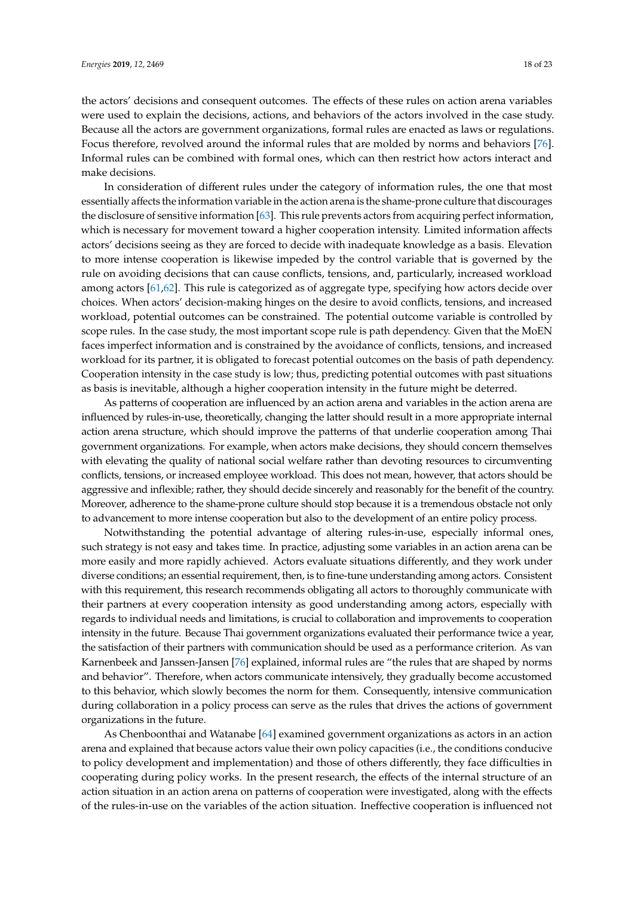the actors' decisions and consequent outcomes. The effects of these rules on action arena variables were used to explain the decisions, actions, and behaviors of the actors involved in the case study. Because all the actors are government organizations, formal rules are enacted as laws or regulations. Focus therefore, revolved around the informal rules that are molded by norms and behaviors [\[76\]](#page-22-9). Informal rules can be combined with formal ones, which can then restrict how actors interact and make decisions.

In consideration of different rules under the category of information rules, the one that most essentially affects the information variable in the action arena is the shame-prone culture that discourages the disclosure of sensitive information [\[63\]](#page-21-21). This rule prevents actors from acquiring perfect information, which is necessary for movement toward a higher cooperation intensity. Limited information affects actors' decisions seeing as they are forced to decide with inadequate knowledge as a basis. Elevation to more intense cooperation is likewise impeded by the control variable that is governed by the rule on avoiding decisions that can cause conflicts, tensions, and, particularly, increased workload among actors [\[61,](#page-21-19)[62\]](#page-21-20). This rule is categorized as of aggregate type, specifying how actors decide over choices. When actors' decision-making hinges on the desire to avoid conflicts, tensions, and increased workload, potential outcomes can be constrained. The potential outcome variable is controlled by scope rules. In the case study, the most important scope rule is path dependency. Given that the MoEN faces imperfect information and is constrained by the avoidance of conflicts, tensions, and increased workload for its partner, it is obligated to forecast potential outcomes on the basis of path dependency. Cooperation intensity in the case study is low; thus, predicting potential outcomes with past situations as basis is inevitable, although a higher cooperation intensity in the future might be deterred.

As patterns of cooperation are influenced by an action arena and variables in the action arena are influenced by rules-in-use, theoretically, changing the latter should result in a more appropriate internal action arena structure, which should improve the patterns of that underlie cooperation among Thai government organizations. For example, when actors make decisions, they should concern themselves with elevating the quality of national social welfare rather than devoting resources to circumventing conflicts, tensions, or increased employee workload. This does not mean, however, that actors should be aggressive and inflexible; rather, they should decide sincerely and reasonably for the benefit of the country. Moreover, adherence to the shame-prone culture should stop because it is a tremendous obstacle not only to advancement to more intense cooperation but also to the development of an entire policy process.

Notwithstanding the potential advantage of altering rules-in-use, especially informal ones, such strategy is not easy and takes time. In practice, adjusting some variables in an action arena can be more easily and more rapidly achieved. Actors evaluate situations differently, and they work under diverse conditions; an essential requirement, then, is to fine-tune understanding among actors. Consistent with this requirement, this research recommends obligating all actors to thoroughly communicate with their partners at every cooperation intensity as good understanding among actors, especially with regards to individual needs and limitations, is crucial to collaboration and improvements to cooperation intensity in the future. Because Thai government organizations evaluated their performance twice a year, the satisfaction of their partners with communication should be used as a performance criterion. As van Karnenbeek and Janssen-Jansen [\[76\]](#page-22-9) explained, informal rules are "the rules that are shaped by norms and behavior". Therefore, when actors communicate intensively, they gradually become accustomed to this behavior, which slowly becomes the norm for them. Consequently, intensive communication during collaboration in a policy process can serve as the rules that drives the actions of government organizations in the future.

As Chenboonthai and Watanabe [\[64\]](#page-21-22) examined government organizations as actors in an action arena and explained that because actors value their own policy capacities (i.e., the conditions conducive to policy development and implementation) and those of others differently, they face difficulties in cooperating during policy works. In the present research, the effects of the internal structure of an action situation in an action arena on patterns of cooperation were investigated, along with the effects of the rules-in-use on the variables of the action situation. Ineffective cooperation is influenced not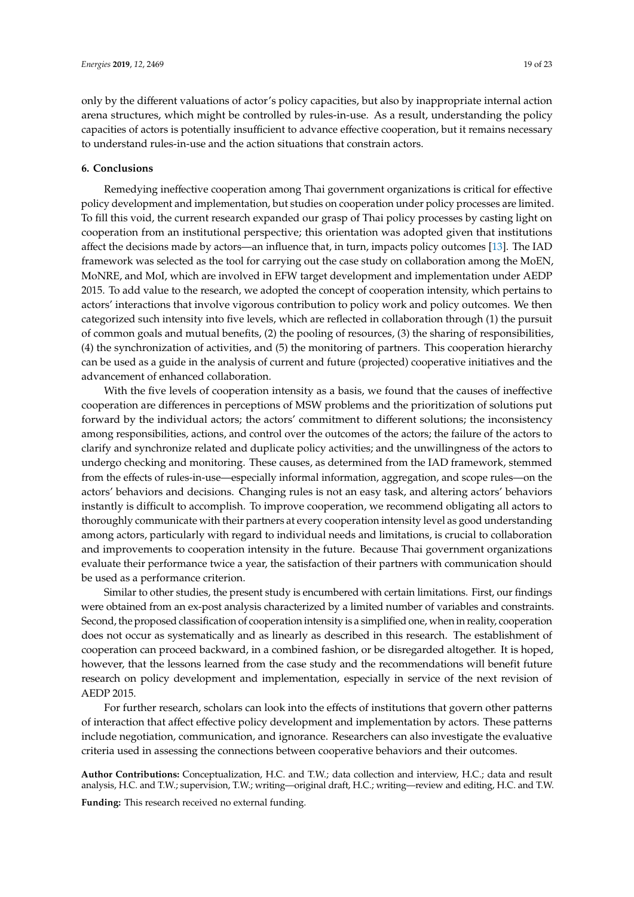only by the different valuations of actor's policy capacities, but also by inappropriate internal action arena structures, which might be controlled by rules-in-use. As a result, understanding the policy capacities of actors is potentially insufficient to advance effective cooperation, but it remains necessary to understand rules-in-use and the action situations that constrain actors.

## <span id="page-18-0"></span>**6. Conclusions**

Remedying ineffective cooperation among Thai government organizations is critical for effective policy development and implementation, but studies on cooperation under policy processes are limited. To fill this void, the current research expanded our grasp of Thai policy processes by casting light on cooperation from an institutional perspective; this orientation was adopted given that institutions affect the decisions made by actors—an influence that, in turn, impacts policy outcomes [\[13\]](#page-19-12). The IAD framework was selected as the tool for carrying out the case study on collaboration among the MoEN, MoNRE, and MoI, which are involved in EFW target development and implementation under AEDP 2015. To add value to the research, we adopted the concept of cooperation intensity, which pertains to actors' interactions that involve vigorous contribution to policy work and policy outcomes. We then categorized such intensity into five levels, which are reflected in collaboration through (1) the pursuit of common goals and mutual benefits, (2) the pooling of resources, (3) the sharing of responsibilities, (4) the synchronization of activities, and (5) the monitoring of partners. This cooperation hierarchy can be used as a guide in the analysis of current and future (projected) cooperative initiatives and the advancement of enhanced collaboration.

With the five levels of cooperation intensity as a basis, we found that the causes of ineffective cooperation are differences in perceptions of MSW problems and the prioritization of solutions put forward by the individual actors; the actors' commitment to different solutions; the inconsistency among responsibilities, actions, and control over the outcomes of the actors; the failure of the actors to clarify and synchronize related and duplicate policy activities; and the unwillingness of the actors to undergo checking and monitoring. These causes, as determined from the IAD framework, stemmed from the effects of rules-in-use—especially informal information, aggregation, and scope rules—on the actors' behaviors and decisions. Changing rules is not an easy task, and altering actors' behaviors instantly is difficult to accomplish. To improve cooperation, we recommend obligating all actors to thoroughly communicate with their partners at every cooperation intensity level as good understanding among actors, particularly with regard to individual needs and limitations, is crucial to collaboration and improvements to cooperation intensity in the future. Because Thai government organizations evaluate their performance twice a year, the satisfaction of their partners with communication should be used as a performance criterion.

Similar to other studies, the present study is encumbered with certain limitations. First, our findings were obtained from an ex-post analysis characterized by a limited number of variables and constraints. Second, the proposed classification of cooperation intensity is a simplified one, when in reality, cooperation does not occur as systematically and as linearly as described in this research. The establishment of cooperation can proceed backward, in a combined fashion, or be disregarded altogether. It is hoped, however, that the lessons learned from the case study and the recommendations will benefit future research on policy development and implementation, especially in service of the next revision of AEDP 2015.

For further research, scholars can look into the effects of institutions that govern other patterns of interaction that affect effective policy development and implementation by actors. These patterns include negotiation, communication, and ignorance. Researchers can also investigate the evaluative criteria used in assessing the connections between cooperative behaviors and their outcomes.

**Author Contributions:** Conceptualization, H.C. and T.W.; data collection and interview, H.C.; data and result analysis, H.C. and T.W.; supervision, T.W.; writing—original draft, H.C.; writing—review and editing, H.C. and T.W.

**Funding:** This research received no external funding.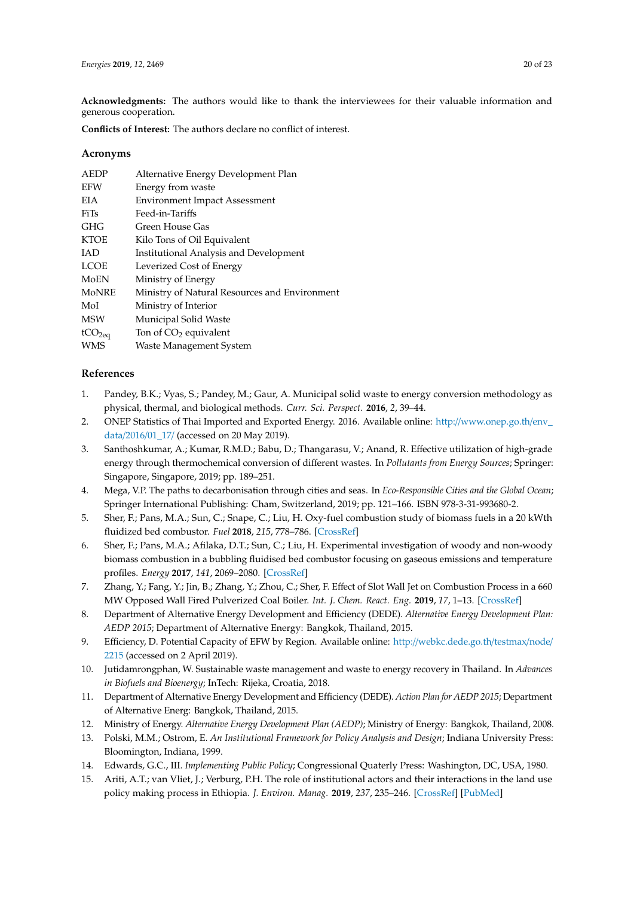**Acknowledgments:** The authors would like to thank the interviewees for their valuable information and generous cooperation.

**Conflicts of Interest:** The authors declare no conflict of interest.

## **Acronyms**

| <b>AEDP</b>        | Alternative Energy Development Plan           |
|--------------------|-----------------------------------------------|
| <b>EFW</b>         | Energy from waste                             |
| <b>EIA</b>         | <b>Environment Impact Assessment</b>          |
| FiTs               | Feed-in-Tariffs                               |
| GHG                | Green House Gas                               |
| <b>KTOE</b>        | Kilo Tons of Oil Equivalent                   |
| <b>IAD</b>         | <b>Institutional Analysis and Development</b> |
| <b>LCOE</b>        | Leverized Cost of Energy                      |
| MoEN               | Ministry of Energy                            |
| <b>MoNRE</b>       | Ministry of Natural Resources and Environment |
| MoI                | Ministry of Interior                          |
| <b>MSW</b>         | Municipal Solid Waste                         |
| tCO <sub>2eq</sub> | Ton of $CO2$ equivalent                       |
| <b>WMS</b>         | Waste Management System                       |
|                    |                                               |

# **References**

- <span id="page-19-0"></span>1. Pandey, B.K.; Vyas, S.; Pandey, M.; Gaur, A. Municipal solid waste to energy conversion methodology as physical, thermal, and biological methods. *Curr. Sci. Perspect.* **2016**, *2*, 39–44.
- <span id="page-19-1"></span>2. ONEP Statistics of Thai Imported and Exported Energy. 2016. Available online: http://[www.onep.go.th](http://www.onep.go.th/env_data/2016/01_17/)/env\_ data/2016/[01\\_17](http://www.onep.go.th/env_data/2016/01_17/)/ (accessed on 20 May 2019).
- <span id="page-19-2"></span>3. Santhoshkumar, A.; Kumar, R.M.D.; Babu, D.; Thangarasu, V.; Anand, R. Effective utilization of high-grade energy through thermochemical conversion of different wastes. In *Pollutants from Energy Sources*; Springer: Singapore, Singapore, 2019; pp. 189–251.
- <span id="page-19-3"></span>4. Mega, V.P. The paths to decarbonisation through cities and seas. In *Eco-Responsible Cities and the Global Ocean*; Springer International Publishing: Cham, Switzerland, 2019; pp. 121–166. ISBN 978-3-31-993680-2.
- <span id="page-19-4"></span>5. Sher, F.; Pans, M.A.; Sun, C.; Snape, C.; Liu, H. Oxy-fuel combustion study of biomass fuels in a 20 kWth fluidized bed combustor. *Fuel* **2018**, *215*, 778–786. [\[CrossRef\]](http://dx.doi.org/10.1016/j.fuel.2017.11.039)
- <span id="page-19-6"></span>6. Sher, F.; Pans, M.A.; Afilaka, D.T.; Sun, C.; Liu, H. Experimental investigation of woody and non-woody biomass combustion in a bubbling fluidised bed combustor focusing on gaseous emissions and temperature profiles. *Energy* **2017**, *141*, 2069–2080. [\[CrossRef\]](http://dx.doi.org/10.1016/j.energy.2017.11.118)
- <span id="page-19-5"></span>7. Zhang, Y.; Fang, Y.; Jin, B.; Zhang, Y.; Zhou, C.; Sher, F. Effect of Slot Wall Jet on Combustion Process in a 660 MW Opposed Wall Fired Pulverized Coal Boiler. *Int. J. Chem. React. Eng.* **2019**, *17*, 1–13. [\[CrossRef\]](http://dx.doi.org/10.1515/ijcre-2018-0110)
- <span id="page-19-7"></span>8. Department of Alternative Energy Development and Efficiency (DEDE). *Alternative Energy Development Plan: AEDP 2015*; Department of Alternative Energy: Bangkok, Thailand, 2015.
- <span id="page-19-8"></span>9. Efficiency, D. Potential Capacity of EFW by Region. Available online: http://[webkc.dede.go.th](http://webkc.dede.go.th/testmax/node/2215)/testmax/node/ [2215](http://webkc.dede.go.th/testmax/node/2215) (accessed on 2 April 2019).
- <span id="page-19-9"></span>10. Jutidamrongphan, W. Sustainable waste management and waste to energy recovery in Thailand. In *Advances in Biofuels and Bioenergy*; InTech: Rijeka, Croatia, 2018.
- <span id="page-19-10"></span>11. Department of Alternative Energy Development and Efficiency (DEDE). *Action Plan for AEDP 2015*; Department of Alternative Energ: Bangkok, Thailand, 2015.
- <span id="page-19-11"></span>12. Ministry of Energy. *Alternative Energy Development Plan (AEDP)*; Ministry of Energy: Bangkok, Thailand, 2008.
- <span id="page-19-12"></span>13. Polski, M.M.; Ostrom, E. *An Institutional Framework for Policy Analysis and Design*; Indiana University Press: Bloomington, Indiana, 1999.
- <span id="page-19-13"></span>14. Edwards, G.C., III. *Implementing Public Policy*; Congressional Quaterly Press: Washington, DC, USA, 1980.
- <span id="page-19-14"></span>15. Ariti, A.T.; van Vliet, J.; Verburg, P.H. The role of institutional actors and their interactions in the land use policy making process in Ethiopia. *J. Environ. Manag.* **2019**, *237*, 235–246. [\[CrossRef\]](http://dx.doi.org/10.1016/j.jenvman.2019.02.059) [\[PubMed\]](http://www.ncbi.nlm.nih.gov/pubmed/30798042)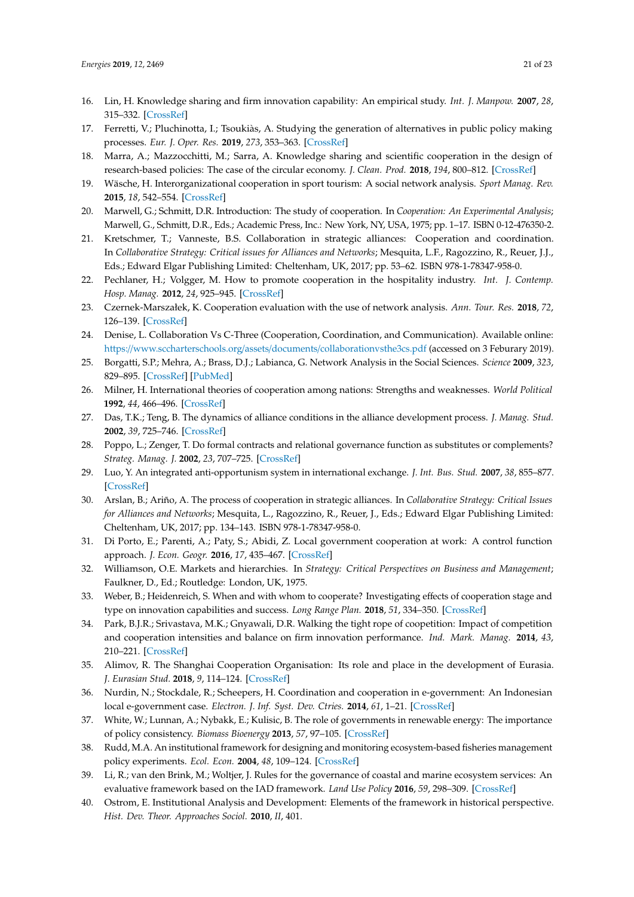- <span id="page-20-0"></span>16. Lin, H. Knowledge sharing and firm innovation capability: An empirical study. *Int. J. Manpow.* **2007**, *28*, 315–332. [\[CrossRef\]](http://dx.doi.org/10.1108/01437720710755272)
- <span id="page-20-1"></span>17. Ferretti, V.; Pluchinotta, I.; Tsoukiàs, A. Studying the generation of alternatives in public policy making processes. *Eur. J. Oper. Res.* **2019**, *273*, 353–363. [\[CrossRef\]](http://dx.doi.org/10.1016/j.ejor.2018.07.054)
- <span id="page-20-2"></span>18. Marra, A.; Mazzocchitti, M.; Sarra, A. Knowledge sharing and scientific cooperation in the design of research-based policies: The case of the circular economy. *J. Clean. Prod.* **2018**, *194*, 800–812. [\[CrossRef\]](http://dx.doi.org/10.1016/j.jclepro.2018.05.164)
- <span id="page-20-3"></span>19. Wäsche, H. Interorganizational cooperation in sport tourism: A social network analysis. *Sport Manag. Rev.* **2015**, *18*, 542–554. [\[CrossRef\]](http://dx.doi.org/10.1016/j.smr.2015.01.003)
- <span id="page-20-4"></span>20. Marwell, G.; Schmitt, D.R. Introduction: The study of cooperation. In *Cooperation: An Experimental Analysis*; Marwell, G., Schmitt, D.R., Eds.; Academic Press, Inc.: New York, NY, USA, 1975; pp. 1–17. ISBN 0-12-476350-2.
- <span id="page-20-5"></span>21. Kretschmer, T.; Vanneste, B.S. Collaboration in strategic alliances: Cooperation and coordination. In *Collaborative Strategy: Critical issues for Alliances and Networks*; Mesquita, L.F., Ragozzino, R., Reuer, J.J., Eds.; Edward Elgar Publishing Limited: Cheltenham, UK, 2017; pp. 53–62. ISBN 978-1-78347-958-0.
- <span id="page-20-6"></span>22. Pechlaner, H.; Volgger, M. How to promote cooperation in the hospitality industry. *Int. J. Contemp. Hosp. Manag.* **2012**, *24*, 925–945. [\[CrossRef\]](http://dx.doi.org/10.1108/09596111211247245)
- <span id="page-20-7"></span>23. Czernek-Marszałek, K. Cooperation evaluation with the use of network analysis. *Ann. Tour. Res.* **2018**, *72*, 126–139. [\[CrossRef\]](http://dx.doi.org/10.1016/j.annals.2018.07.005)
- <span id="page-20-8"></span>24. Denise, L. Collaboration Vs C-Three (Cooperation, Coordination, and Communication). Available online: https://[www.sccharterschools.org](https://www.sccharterschools.org/assets/documents/collaborationvsthe3cs.pdf)/assets/documents/collaborationvsthe3cs.pdf (accessed on 3 Feburary 2019).
- <span id="page-20-9"></span>25. Borgatti, S.P.; Mehra, A.; Brass, D.J.; Labianca, G. Network Analysis in the Social Sciences. *Science* **2009**, *323*, 829–895. [\[CrossRef\]](http://dx.doi.org/10.1126/science.1165821) [\[PubMed\]](http://www.ncbi.nlm.nih.gov/pubmed/19213908)
- <span id="page-20-10"></span>26. Milner, H. International theories of cooperation among nations: Strengths and weaknesses. *World Political* **1992**, *44*, 466–496. [\[CrossRef\]](http://dx.doi.org/10.2307/2010546)
- <span id="page-20-11"></span>27. Das, T.K.; Teng, B. The dynamics of alliance conditions in the alliance development process. *J. Manag. Stud.* **2002**, *39*, 725–746. [\[CrossRef\]](http://dx.doi.org/10.1111/1467-6486.00006)
- 28. Poppo, L.; Zenger, T. Do formal contracts and relational governance function as substitutes or complements? *Strateg. Manag. J.* **2002**, *23*, 707–725. [\[CrossRef\]](http://dx.doi.org/10.1002/smj.249)
- <span id="page-20-12"></span>29. Luo, Y. An integrated anti-opportunism system in international exchange. *J. Int. Bus. Stud.* **2007**, *38*, 855–877. [\[CrossRef\]](http://dx.doi.org/10.1057/palgrave.jibs.8400300)
- <span id="page-20-13"></span>30. Arslan, B.; Ariño, A. The process of cooperation in strategic alliances. In *Collaborative Strategy: Critical Issues for Alliances and Networks*; Mesquita, L., Ragozzino, R., Reuer, J., Eds.; Edward Elgar Publishing Limited: Cheltenham, UK, 2017; pp. 134–143. ISBN 978-1-78347-958-0.
- <span id="page-20-14"></span>31. Di Porto, E.; Parenti, A.; Paty, S.; Abidi, Z. Local government cooperation at work: A control function approach. *J. Econ. Geogr.* **2016**, *17*, 435–467. [\[CrossRef\]](http://dx.doi.org/10.1093/jeg/lbw008)
- <span id="page-20-15"></span>32. Williamson, O.E. Markets and hierarchies. In *Strategy: Critical Perspectives on Business and Management*; Faulkner, D., Ed.; Routledge: London, UK, 1975.
- <span id="page-20-16"></span>33. Weber, B.; Heidenreich, S. When and with whom to cooperate? Investigating effects of cooperation stage and type on innovation capabilities and success. *Long Range Plan.* **2018**, *51*, 334–350. [\[CrossRef\]](http://dx.doi.org/10.1016/j.lrp.2017.07.003)
- <span id="page-20-17"></span>34. Park, B.J.R.; Srivastava, M.K.; Gnyawali, D.R. Walking the tight rope of coopetition: Impact of competition and cooperation intensities and balance on firm innovation performance. *Ind. Mark. Manag.* **2014**, *43*, 210–221. [\[CrossRef\]](http://dx.doi.org/10.1016/j.indmarman.2013.11.003)
- <span id="page-20-18"></span>35. Alimov, R. The Shanghai Cooperation Organisation: Its role and place in the development of Eurasia. *J. Eurasian Stud.* **2018**, *9*, 114–124. [\[CrossRef\]](http://dx.doi.org/10.1016/j.euras.2018.08.001)
- <span id="page-20-19"></span>36. Nurdin, N.; Stockdale, R.; Scheepers, H. Coordination and cooperation in e-government: An Indonesian local e-government case. *Electron. J. Inf. Syst. Dev. Ctries.* **2014**, *61*, 1–21. [\[CrossRef\]](http://dx.doi.org/10.1002/j.1681-4835.2014.tb00432.x)
- <span id="page-20-20"></span>37. White, W.; Lunnan, A.; Nybakk, E.; Kulisic, B. The role of governments in renewable energy: The importance of policy consistency. *Biomass Bioenergy* **2013**, *57*, 97–105. [\[CrossRef\]](http://dx.doi.org/10.1016/j.biombioe.2012.12.035)
- <span id="page-20-21"></span>38. Rudd, M.A. An institutional framework for designing and monitoring ecosystem-based fisheries management policy experiments. *Ecol. Econ.* **2004**, *48*, 109–124. [\[CrossRef\]](http://dx.doi.org/10.1016/j.ecolecon.2003.10.002)
- <span id="page-20-22"></span>39. Li, R.; van den Brink, M.; Woltjer, J. Rules for the governance of coastal and marine ecosystem services: An evaluative framework based on the IAD framework. *Land Use Policy* **2016**, *59*, 298–309. [\[CrossRef\]](http://dx.doi.org/10.1016/j.landusepol.2016.09.008)
- <span id="page-20-23"></span>40. Ostrom, E. Institutional Analysis and Development: Elements of the framework in historical perspective. *Hist. Dev. Theor. Approaches Sociol.* **2010**, *II*, 401.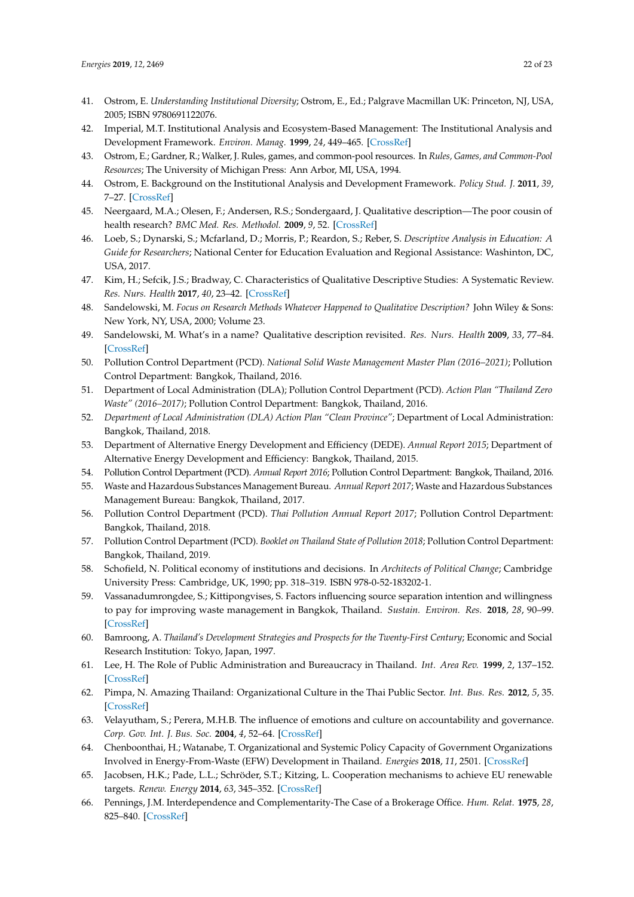- <span id="page-21-0"></span>41. Ostrom, E. *Understanding Institutional Diversity*; Ostrom, E., Ed.; Palgrave Macmillan UK: Princeton, NJ, USA, 2005; ISBN 9780691122076.
- <span id="page-21-1"></span>42. Imperial, M.T. Institutional Analysis and Ecosystem-Based Management: The Institutional Analysis and Development Framework. *Environ. Manag.* **1999**, *24*, 449–465. [\[CrossRef\]](http://dx.doi.org/10.1007/s002679900246)
- <span id="page-21-2"></span>43. Ostrom, E.; Gardner, R.; Walker, J. Rules, games, and common-pool resources. In *Rules, Games, and Common-Pool Resources*; The University of Michigan Press: Ann Arbor, MI, USA, 1994.
- <span id="page-21-3"></span>44. Ostrom, E. Background on the Institutional Analysis and Development Framework. *Policy Stud. J.* **2011**, *39*, 7–27. [\[CrossRef\]](http://dx.doi.org/10.1111/j.1541-0072.2010.00394.x)
- <span id="page-21-4"></span>45. Neergaard, M.A.; Olesen, F.; Andersen, R.S.; Sondergaard, J. Qualitative description—The poor cousin of health research? *BMC Med. Res. Methodol.* **2009**, *9*, 52. [\[CrossRef\]](http://dx.doi.org/10.1186/1471-2288-9-52)
- <span id="page-21-5"></span>46. Loeb, S.; Dynarski, S.; Mcfarland, D.; Morris, P.; Reardon, S.; Reber, S. *Descriptive Analysis in Education: A Guide for Researchers*; National Center for Education Evaluation and Regional Assistance: Washinton, DC, USA, 2017.
- <span id="page-21-6"></span>47. Kim, H.; Sefcik, J.S.; Bradway, C. Characteristics of Qualitative Descriptive Studies: A Systematic Review. *Res. Nurs. Health* **2017**, *40*, 23–42. [\[CrossRef\]](http://dx.doi.org/10.1002/nur.21768)
- <span id="page-21-7"></span>48. Sandelowski, M. *Focus on Research Methods Whatever Happened to Qualitative Description?* John Wiley & Sons: New York, NY, USA, 2000; Volume 23.
- <span id="page-21-8"></span>49. Sandelowski, M. What's in a name? Qualitative description revisited. *Res. Nurs. Health* **2009**, *33*, 77–84. [\[CrossRef\]](http://dx.doi.org/10.1002/nur.20362)
- <span id="page-21-9"></span>50. Pollution Control Department (PCD). *National Solid Waste Management Master Plan (2016–2021)*; Pollution Control Department: Bangkok, Thailand, 2016.
- <span id="page-21-10"></span>51. Department of Local Administration (DLA); Pollution Control Department (PCD). *Action Plan "Thailand Zero Waste" (2016–2017)*; Pollution Control Department: Bangkok, Thailand, 2016.
- <span id="page-21-11"></span>52. *Department of Local Administration (DLA) Action Plan "Clean Province"*; Department of Local Administration: Bangkok, Thailand, 2018.
- <span id="page-21-12"></span>53. Department of Alternative Energy Development and Efficiency (DEDE). *Annual Report 2015*; Department of Alternative Energy Development and Efficiency: Bangkok, Thailand, 2015.
- 54. Pollution Control Department (PCD). *Annual Report 2016*; Pollution Control Department: Bangkok, Thailand, 2016.
- <span id="page-21-13"></span>55. Waste and Hazardous Substances Management Bureau. *Annual Report 2017*; Waste and Hazardous Substances Management Bureau: Bangkok, Thailand, 2017.
- <span id="page-21-14"></span>56. Pollution Control Department (PCD). *Thai Pollution Annual Report 2017*; Pollution Control Department: Bangkok, Thailand, 2018.
- <span id="page-21-15"></span>57. Pollution Control Department (PCD). *Booklet on Thailand State of Pollution 2018*; Pollution Control Department: Bangkok, Thailand, 2019.
- <span id="page-21-16"></span>58. Schofield, N. Political economy of institutions and decisions. In *Architects of Political Change*; Cambridge University Press: Cambridge, UK, 1990; pp. 318–319. ISBN 978-0-52-183202-1.
- <span id="page-21-17"></span>59. Vassanadumrongdee, S.; Kittipongvises, S. Factors influencing source separation intention and willingness to pay for improving waste management in Bangkok, Thailand. *Sustain. Environ. Res.* **2018**, *28*, 90–99. [\[CrossRef\]](http://dx.doi.org/10.1016/j.serj.2017.11.003)
- <span id="page-21-18"></span>60. Bamroong, A. *Thailand's Development Strategies and Prospects for the Twenty-First Century*; Economic and Social Research Institution: Tokyo, Japan, 1997.
- <span id="page-21-19"></span>61. Lee, H. The Role of Public Administration and Bureaucracy in Thailand. *Int. Area Rev.* **1999**, *2*, 137–152. [\[CrossRef\]](http://dx.doi.org/10.1177/223386599900200208)
- <span id="page-21-20"></span>62. Pimpa, N. Amazing Thailand: Organizational Culture in the Thai Public Sector. *Int. Bus. Res.* **2012**, *5*, 35. [\[CrossRef\]](http://dx.doi.org/10.5539/ibr.v5n11p35)
- <span id="page-21-21"></span>63. Velayutham, S.; Perera, M.H.B. The influence of emotions and culture on accountability and governance. *Corp. Gov. Int. J. Bus. Soc.* **2004**, *4*, 52–64. [\[CrossRef\]](http://dx.doi.org/10.1108/14720700410521961)
- <span id="page-21-22"></span>64. Chenboonthai, H.; Watanabe, T. Organizational and Systemic Policy Capacity of Government Organizations Involved in Energy-From-Waste (EFW) Development in Thailand. *Energies* **2018**, *11*, 2501. [\[CrossRef\]](http://dx.doi.org/10.3390/en11102501)
- <span id="page-21-23"></span>65. Jacobsen, H.K.; Pade, L.L.; Schröder, S.T.; Kitzing, L. Cooperation mechanisms to achieve EU renewable targets. *Renew. Energy* **2014**, *63*, 345–352. [\[CrossRef\]](http://dx.doi.org/10.1016/j.renene.2013.09.035)
- <span id="page-21-24"></span>66. Pennings, J.M. Interdependence and Complementarity-The Case of a Brokerage Office. *Hum. Relat.* **1975**, *28*, 825–840. [\[CrossRef\]](http://dx.doi.org/10.1177/001872677502800904)